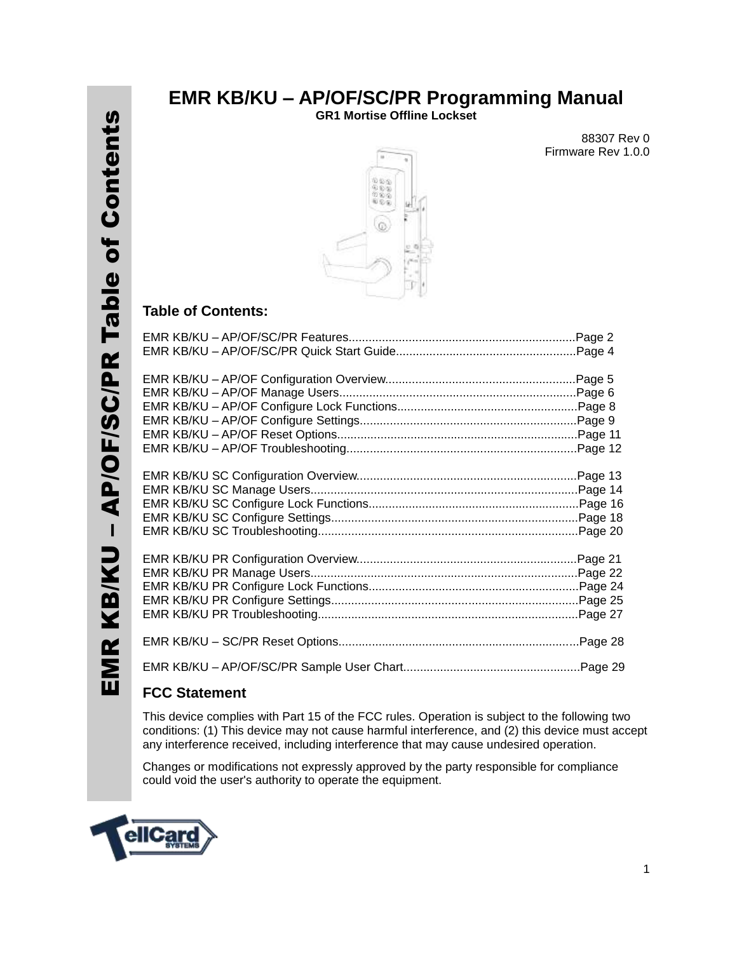### **EMR KB/KU – AP/OF/SC/PR Programming Manual**

**GR1 Mortise Offline Lockset**

88307 Rev 0 Firmware Rev 1.0.0



#### **Table of Contents:**

#### **FCC Statement**

This device complies with Part 15 of the FCC rules. Operation is subject to the following two conditions: (1) This device may not cause harmful interference, and (2) this device must accept any interference received, including interference that may cause undesired operation.

Changes or modifications not expressly approved by the party responsible for compliance could void the user's authority to operate the equipment.

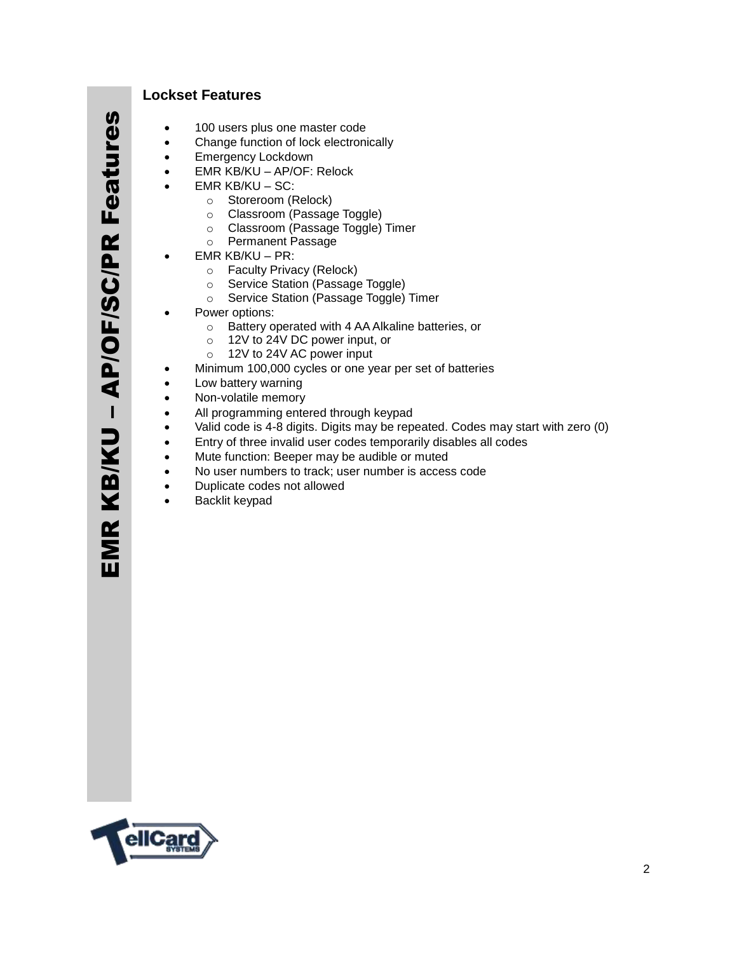#### **Lockset Features**

- 100 users plus one master code
- Change function of lock electronically
- Emergency Lockdown
- EMR KB/KU AP/OF: Relock
- EMR KB/KU SC:
	- o Storeroom (Relock)
	- o Classroom (Passage Toggle)
	- o Classroom (Passage Toggle) Timer
	- o Permanent Passage
- EMR KB/KU PR:
	- o Faculty Privacy (Relock)
	- o Service Station (Passage Toggle)
	- o Service Station (Passage Toggle) Timer
- Power options:
	- o Battery operated with 4 AA Alkaline batteries, or
	- o 12V to 24V DC power input, or
	- o 12V to 24V AC power input
- Minimum 100,000 cycles or one year per set of batteries
- Low battery warning
- Non-volatile memory
- All programming entered through keypad
- Valid code is 4-8 digits. Digits may be repeated. Codes may start with zero (0)
- Entry of three invalid user codes temporarily disables all codes
- Mute function: Beeper may be audible or muted
- No user numbers to track; user number is access code
- Duplicate codes not allowed
- **•** Backlit keypad

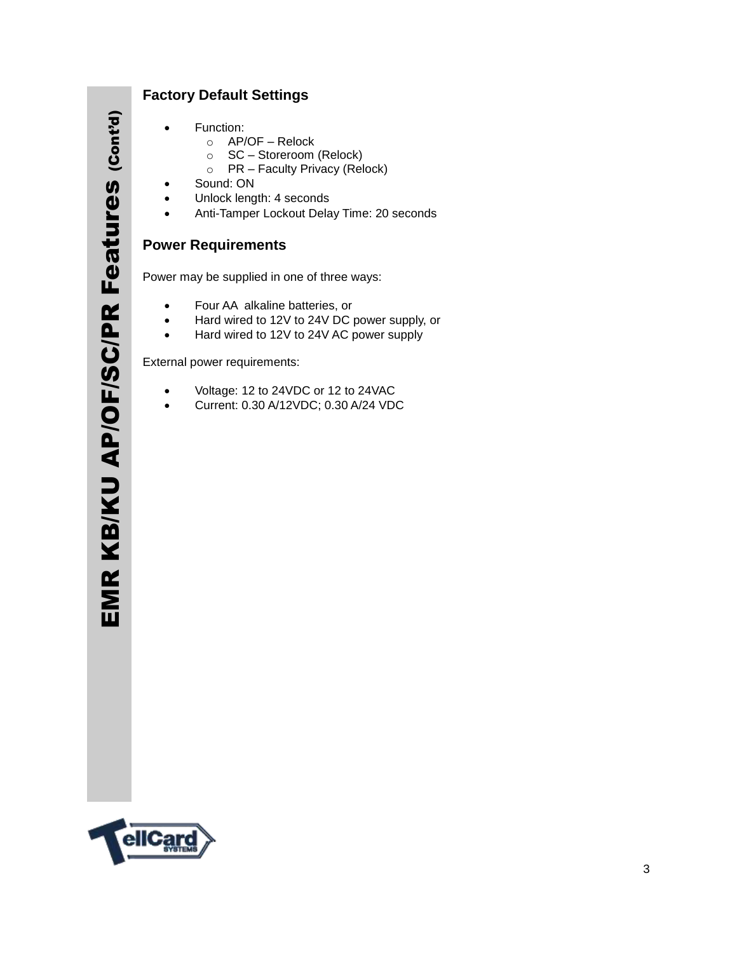#### **Factory Default Settings**

- Function:
	- o AP/OF Relock
		- o SC Storeroom (Relock)
		- o PR Faculty Privacy (Relock)
- Sound: ON
- Unlock length: 4 seconds
- Anti-Tamper Lockout Delay Time: 20 seconds

#### **Power Requirements**

Power may be supplied in one of three ways:

- Four AA alkaline batteries, or
- Hard wired to 12V to 24V DC power supply, or
- Hard wired to 12V to 24V AC power supply

External power requirements:

- Voltage: 12 to 24VDC or 12 to 24VAC
- Current: 0.30 A/12VDC; 0.30 A/24 VDC

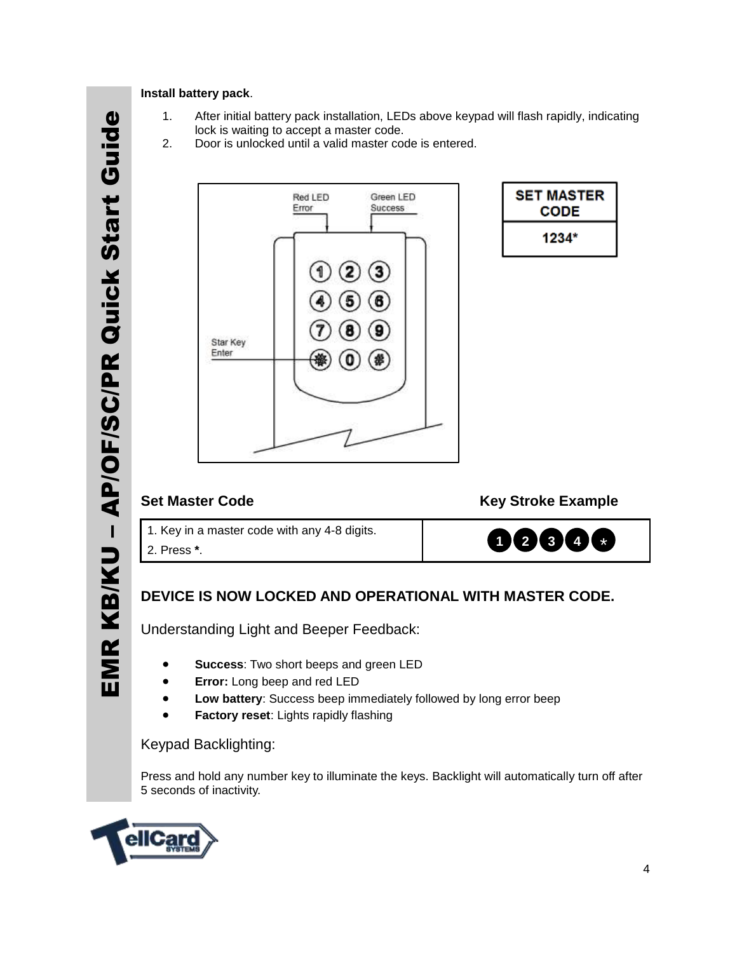# – AP/OF/SC/PR Quick Start Guide EMR KB/KU - AP/OF/SC/PR Quick Start Guide EMR KB/KU

#### Red LED Green LED Success Error 1  $\mathbf{3}$ 2  $\bf{6}$ 9 Star Key Enter

lock is waiting to accept a master code.

2. Door is unlocked until a valid master code is entered.

1. After initial battery pack installation, LEDs above keypad will flash rapidly, indicating

| <b>SET MASTER</b><br>CODE |  |
|---------------------------|--|
| 1234*                     |  |

**Install battery pack**.

**Set Master Code Community Community Community Community Community Community Community Community Community Community** 

**1 2 3 4** \*

1. Key in a master code with any 4-8 digits. 2. 2. Press **\***.

#### **DEVICE IS NOW LOCKED AND OPERATIONAL WITH MASTER CODE.**

Understanding Light and Beeper Feedback:

- **Success**: Two short beeps and green LED
- **Error:** Long beep and red LED
- **Low battery**: Success beep immediately followed by long error beep
- **Factory reset**: Lights rapidly flashing

#### Keypad Backlighting:

Press and hold any number key to illuminate the keys. Backlight will automatically turn off after 5 seconds of inactivity.

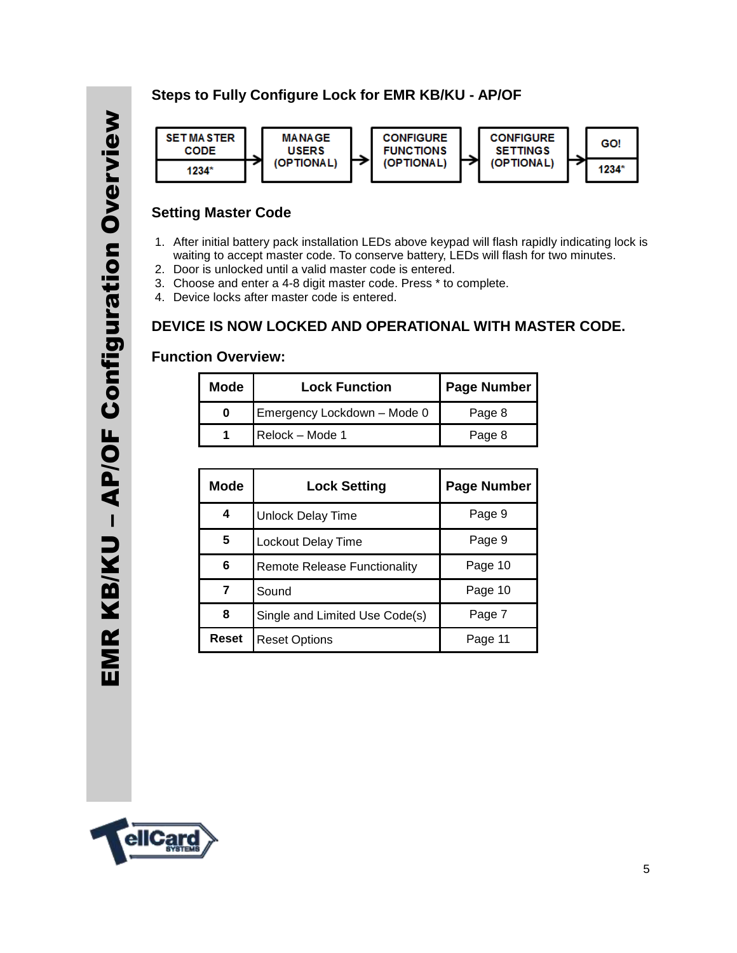#### **Steps to Fully Configure Lock for EMR KB/KU - AP/OF**



#### **Setting Master Code**

- 1. After initial battery pack installation LEDs above keypad will flash rapidly indicating lock is waiting to accept master code. To conserve battery, LEDs will flash for two minutes.
- 2. Door is unlocked until a valid master code is entered.
- 3. Choose and enter a 4-8 digit master code. Press \* to complete.
- 4. Device locks after master code is entered.

#### **DEVICE IS NOW LOCKED AND OPERATIONAL WITH MASTER CODE.**

#### **Function Overview:**

| <b>Mode</b> | <b>Lock Function</b>        | <b>Page Number</b> |
|-------------|-----------------------------|--------------------|
|             | Emergency Lockdown - Mode 0 | Page 8             |
|             | Relock - Mode 1             | Page 8             |

| <b>Mode</b> | <b>Lock Setting</b>                 | <b>Page Number</b> |
|-------------|-------------------------------------|--------------------|
| 4           | Unlock Delay Time                   | Page 9             |
| 5           | Lockout Delay Time                  | Page 9             |
| 6           | <b>Remote Release Functionality</b> | Page 10            |
|             | Sound                               | Page 10            |
| 8           | Single and Limited Use Code(s)      | Page 7             |
| Reset       | <b>Reset Options</b>                | Page 11            |

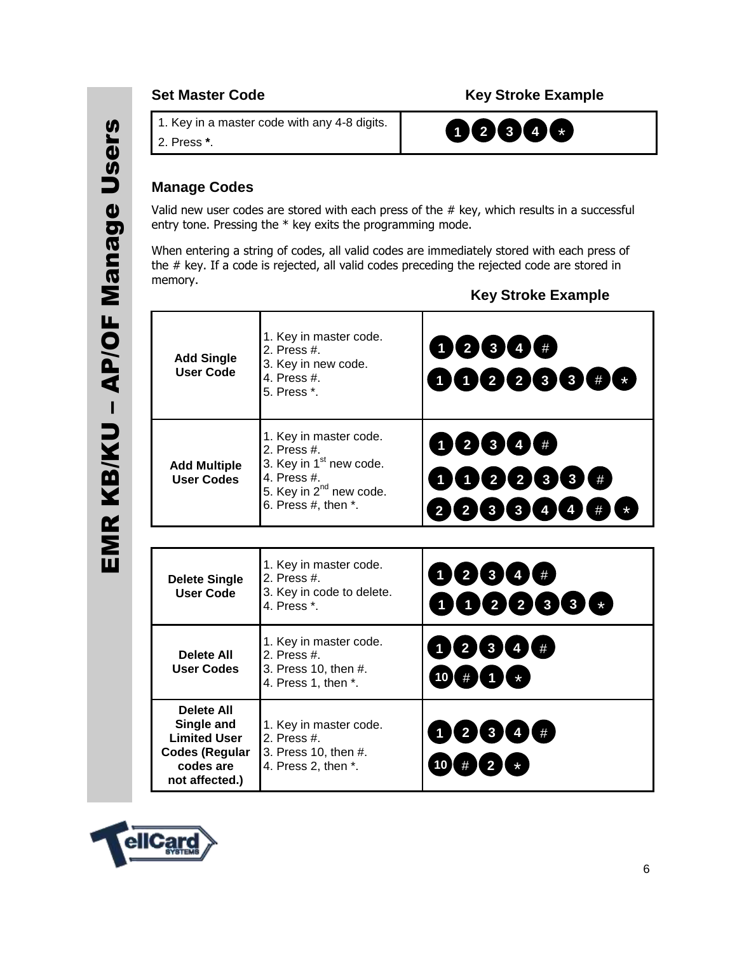#### **Set Master Code Community Community Community Community Community Community Community Community Community Community**

3. 1. Key in a master code with any 4-8 digits.

4. 2. Press **\***.

### **1 2 3 4** \*

#### **Manage Codes**

Valid new user codes are stored with each press of the # key, which results in a successful entry tone. Pressing the \* key exits the programming mode.

When entering a string of codes, all valid codes are immediately stored with each press of the # key. If a code is rejected, all valid codes preceding the rejected code are stored in memory.

| <b>Add Single</b><br><b>User Code</b>                                                                          | 1. Key in master code.<br>2. Press #.<br>3. Key in new code.<br>4. Press #.<br>5. Press *.                                                                      | 0234#<br>DO0088#C                                                                                                                                            |
|----------------------------------------------------------------------------------------------------------------|-----------------------------------------------------------------------------------------------------------------------------------------------------------------|--------------------------------------------------------------------------------------------------------------------------------------------------------------|
| <b>Add Multiple</b><br><b>User Codes</b>                                                                       | 1. Key in master code.<br>2. Press #.<br>3. Key in 1 <sup>st</sup> new code.<br>4. Press #.<br>5. Key in 2 <sup>nd</sup> new code.<br>6. Press $#$ , then $*$ . | 1234#<br>12233<br>#<br>$\begin{array}{ c c c }\n\hline\n3 & 3\n\end{array}$<br>$\overline{2}$<br>$\overline{4}$<br>$\overline{\mathbf{4}}$<br>$\overline{2}$ |
|                                                                                                                |                                                                                                                                                                 |                                                                                                                                                              |
| <b>Delete Single</b><br><b>User Code</b>                                                                       | 1. Key in master code.<br>2. Press $#$<br>3. Key in code to delete.<br>4. Press *.                                                                              | 12344<br>(122333)                                                                                                                                            |
| <b>Delete All</b><br><b>User Codes</b>                                                                         | 1. Key in master code.<br>2. Press $#$ .<br>3. Press 10, then #.<br>4. Press 1, then *.                                                                         | $\begin{array}{c} 3 \end{array}$ (4) (#<br>$\overline{2}$<br>$10$ $#$                                                                                        |
| <b>Delete All</b><br>Single and<br><b>Limited User</b><br><b>Codes (Regular</b><br>codes are<br>not affected.) | 1. Key in master code.<br>2. Press #.<br>3. Press 10, then #.<br>4. Press 2, then *.                                                                            | 3 <sub>l</sub><br>$\overline{2}$<br>4 I<br>10                                                                                                                |

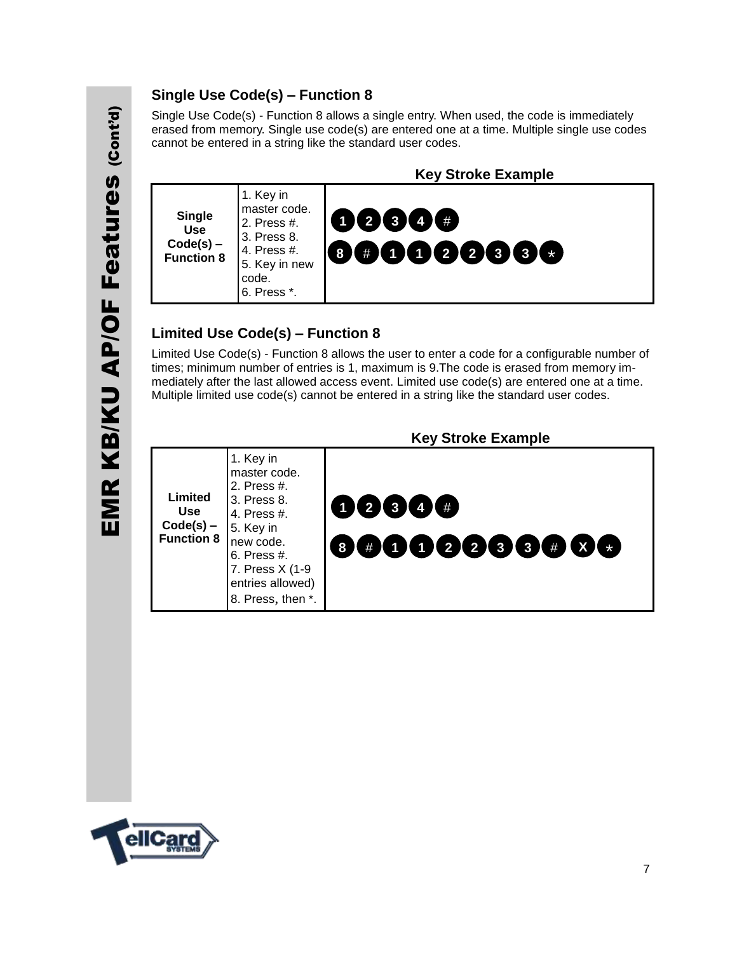#### **Single Use Code(s) – Function 8**

Single Use Code(s) - Function 8 allows a single entry. When used, the code is immediately erased from memory. Single use code(s) are entered one at a time. Multiple single use codes cannot be entered in a string like the standard user codes.



#### **Limited Use Code(s) – Function 8**

Limited Use Code(s) - Function 8 allows the user to enter a code for a configurable number of times; minimum number of entries is 1, maximum is 9.The code is erased from memory immediately after the last allowed access event. Limited use code(s) are entered one at a time. Multiple limited use code(s) cannot be entered in a string like the standard user codes.

|                                                           |                                                                                                                                                                             | <b>Key Stroke Example</b>  |
|-----------------------------------------------------------|-----------------------------------------------------------------------------------------------------------------------------------------------------------------------------|----------------------------|
| Limited<br><b>Use</b><br>$Code(s)$ –<br><b>Function 8</b> | 1. Key in<br>master code.<br>2. Press #.<br>3. Press 8.<br>4. Press #.<br>5. Key in<br>new code.<br>6. Press #.<br>7. Press X (1-9<br>entries allowed)<br>8. Press, then *. | 12344 #<br>0000000000<br>8 |

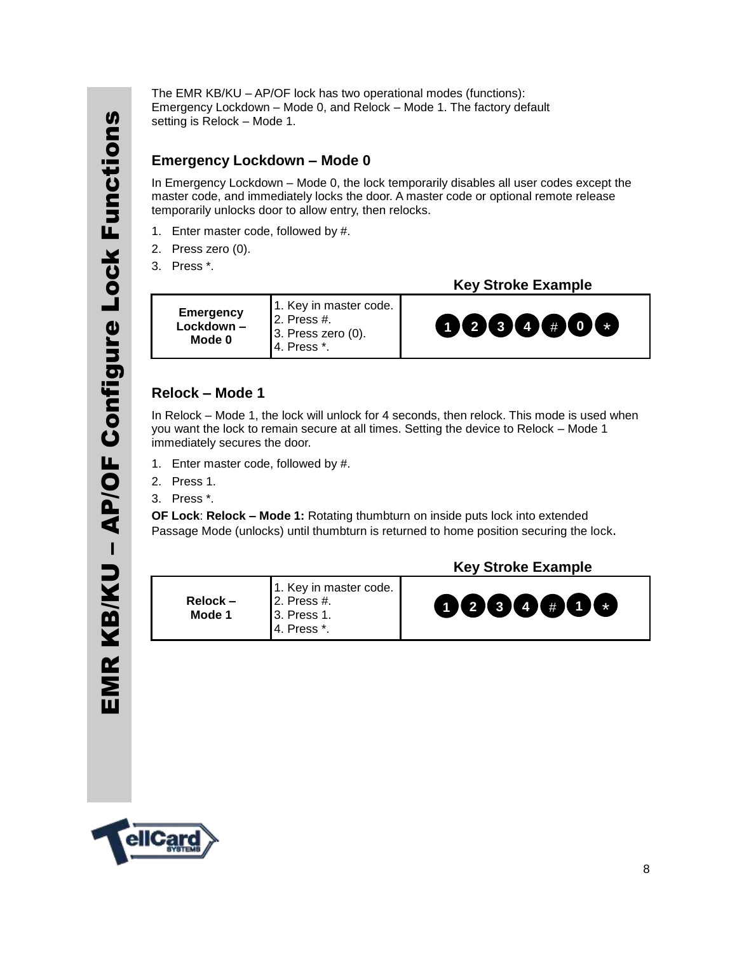The EMR KB/KU – AP/OF lock has two operational modes (functions): Emergency Lockdown – Mode 0, and Relock – Mode 1. The factory default setting is Relock – Mode 1.

#### **Emergency Lockdown – Mode 0**

In Emergency Lockdown – Mode 0, the lock temporarily disables all user codes except the master code, and immediately locks the door. A master code or optional remote release temporarily unlocks door to allow entry, then relocks.

- 1. Enter master code, followed by #.
- 2. Press zero (0).
- 3. Press \*.

 **Key Stroke Example**

**Emergency Lockdown – Mode 0** 1. Key in master code. 2. Press #. 3. Press zero (0). 4. Press \*.

## **1 2 3 4** # **0** \*

#### **Relock – Mode 1**

In Relock – Mode 1, the lock will unlock for 4 seconds, then relock. This mode is used when you want the lock to remain secure at all times. Setting the device to Relock – Mode 1 immediately secures the door.

- 1. Enter master code, followed by #.
- 2. Press 1.
- 3. Press \*.

**OF Lock**: **Relock – Mode 1:** Rotating thumbturn on inside puts lock into extended Passage Mode (unlocks) until thumbturn is returned to home position securing the lock.

| $Relock -$<br>Mode 1 | 1. Key in master code.<br>$\vert$ 2. Press #.<br><b>13. Press 1.</b><br>4. Press *. | 0000000 |  |
|----------------------|-------------------------------------------------------------------------------------|---------|--|
|                      |                                                                                     |         |  |

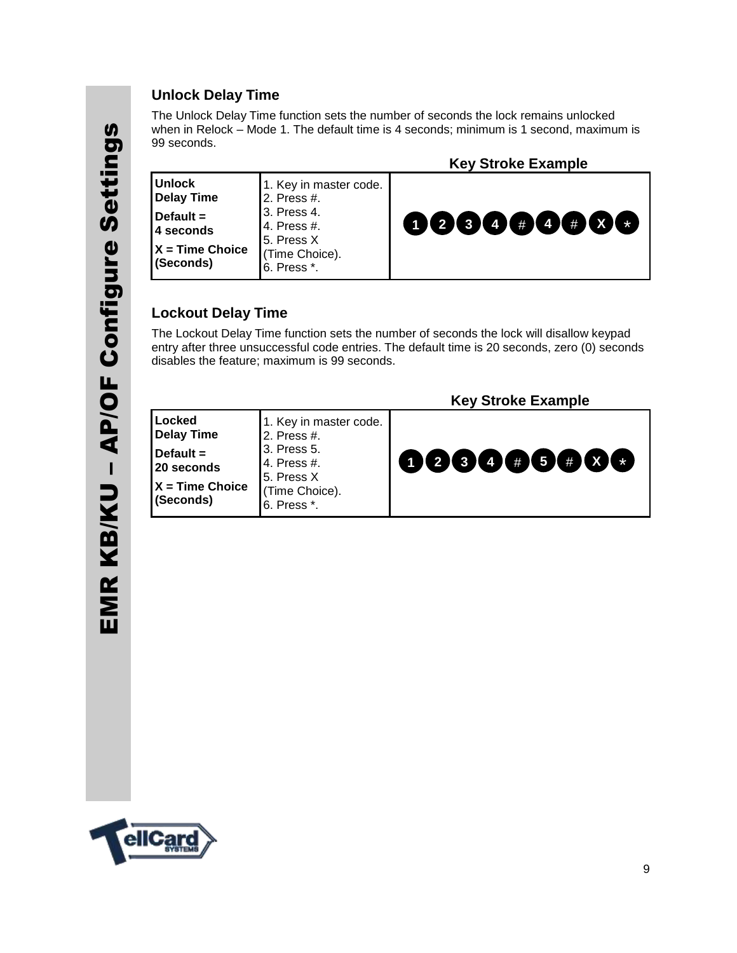#### **Unlock Delay Time**

The Unlock Delay Time function sets the number of seconds the lock remains unlocked when in Relock – Mode 1. The default time is 4 seconds; minimum is 1 second, maximum is 99 seconds.

|                                                                                            |                                                                                                                    | <b>Key Stroke Example</b> |
|--------------------------------------------------------------------------------------------|--------------------------------------------------------------------------------------------------------------------|---------------------------|
| <b>Unlock</b><br>Delay Time<br>Default $=$<br>14 seconds<br>$X = Time Choice$<br>(Seconds) | 1. Key in master code.<br>2. Press #.<br>3. Press 4.<br>4. Press #.<br>5. Press X<br>(Time Choice).<br>6. Press *. | 12344 # 4 # X             |

#### **Lockout Delay Time**

The Lockout Delay Time function sets the number of seconds the lock will disallow keypad entry after three unsuccessful code entries. The default time is 20 seconds, zero (0) seconds disables the feature; maximum is 99 seconds.

|                                                                 |                                           | <b>Key Stroke Example</b> |
|-----------------------------------------------------------------|-------------------------------------------|---------------------------|
| Locked<br><b>Delay Time</b>                                     | 1. Key in master code.<br>2. Press #.     |                           |
| Default $=$<br>20 seconds                                       | 13. Press 5.<br>4. Press #.<br>5. Press X | 000000000                 |
| $X = Time Choice$<br>(Time Choice).<br>(Seconds)<br>6. Press *. |                                           |                           |

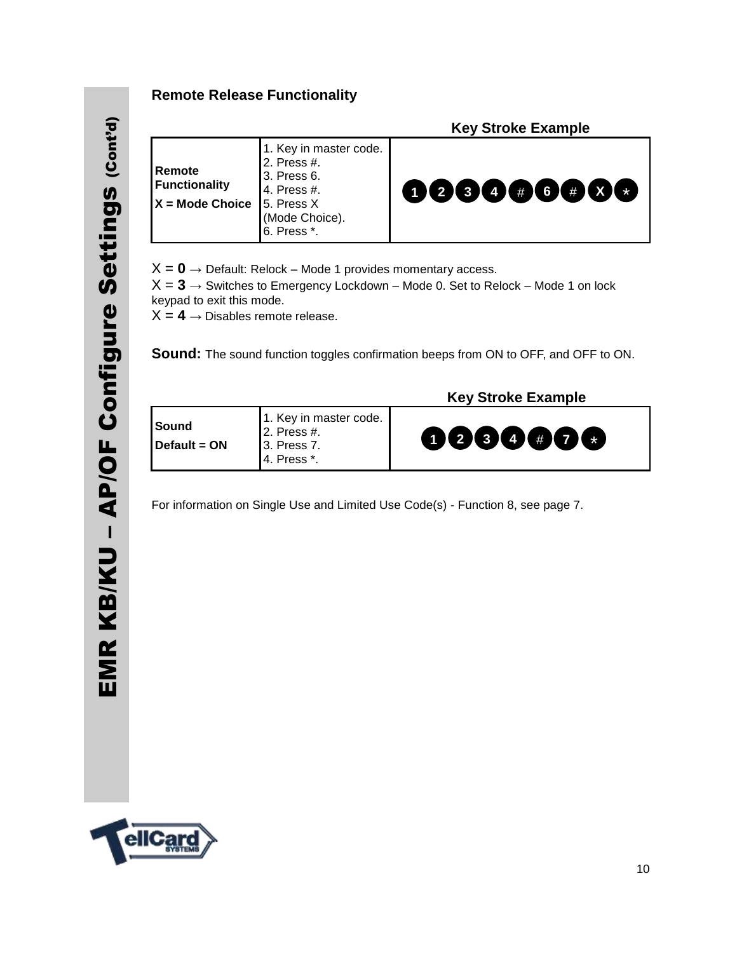#### **Remote Release Functionality**

|                                                     |                                                                                                                    | <b>Key Stroke Example</b> |
|-----------------------------------------------------|--------------------------------------------------------------------------------------------------------------------|---------------------------|
| Remote<br><b>Functionality</b><br>$X = Mode$ Choice | 1. Key in master code.<br>2. Press #.<br>3. Press 6.<br>4. Press #.<br>5. Press X<br>(Mode Choice).<br>6. Press *. | 0000#6#00                 |

 $X = 0 \rightarrow$  Default: Relock – Mode 1 provides momentary access.

 $X = 3 \rightarrow$  Switches to Emergency Lockdown – Mode 0. Set to Relock – Mode 1 on lock keypad to exit this mode.

 $X = 4 \rightarrow$  Disables remote release.

**Sound:** The sound function toggles confirmation beeps from ON to OFF, and OFF to ON.

 **Key Stroke Example**

| <b>I</b> Sound        | 1. Key in master code.<br>$12.$ Press #.   |                                               |
|-----------------------|--------------------------------------------|-----------------------------------------------|
| <b>I</b> Default = ON | $\vert$ 3. Press 7.<br><b>14. Press *.</b> | $\begin{array}{c} \mathbf{00000} \end{array}$ |

For information on Single Use and Limited Use Code(s) - Function 8, see page 7.

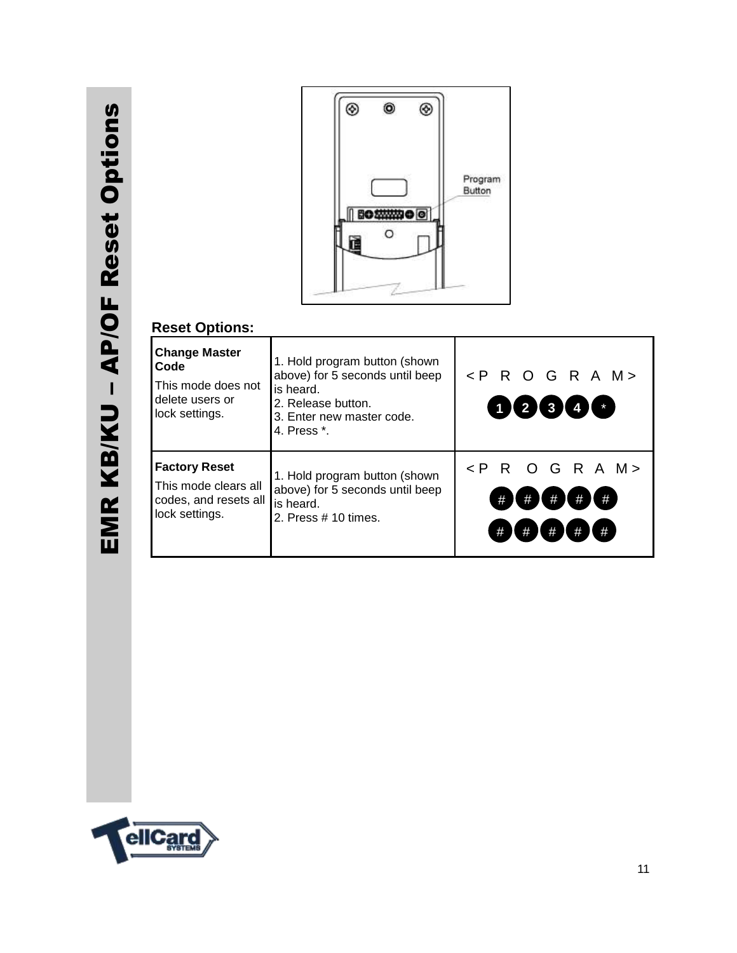

#### **Reset Options:**

| <b>Change Master</b><br>Code<br>This mode does not<br>delete users or<br>lock settings. | 1. Hold program button (shown<br>above) for 5 seconds until beep<br>is heard.<br>2. Release button.<br>3. Enter new master code.<br>4. Press *. | $\langle$ PROGRAM><br>12341                                                   |
|-----------------------------------------------------------------------------------------|-------------------------------------------------------------------------------------------------------------------------------------------------|-------------------------------------------------------------------------------|
| <b>Factory Reset</b><br>This mode clears all<br>codes, and resets all<br>lock settings. | 1. Hold program button (shown<br>above) for 5 seconds until beep<br>is heard.<br>2. Press $# 10$ times.                                         | O G R A M ><br>$\leq P$<br>R.<br>#<br>$\#$<br>#<br>#<br>#<br>#<br>#<br>#<br># |

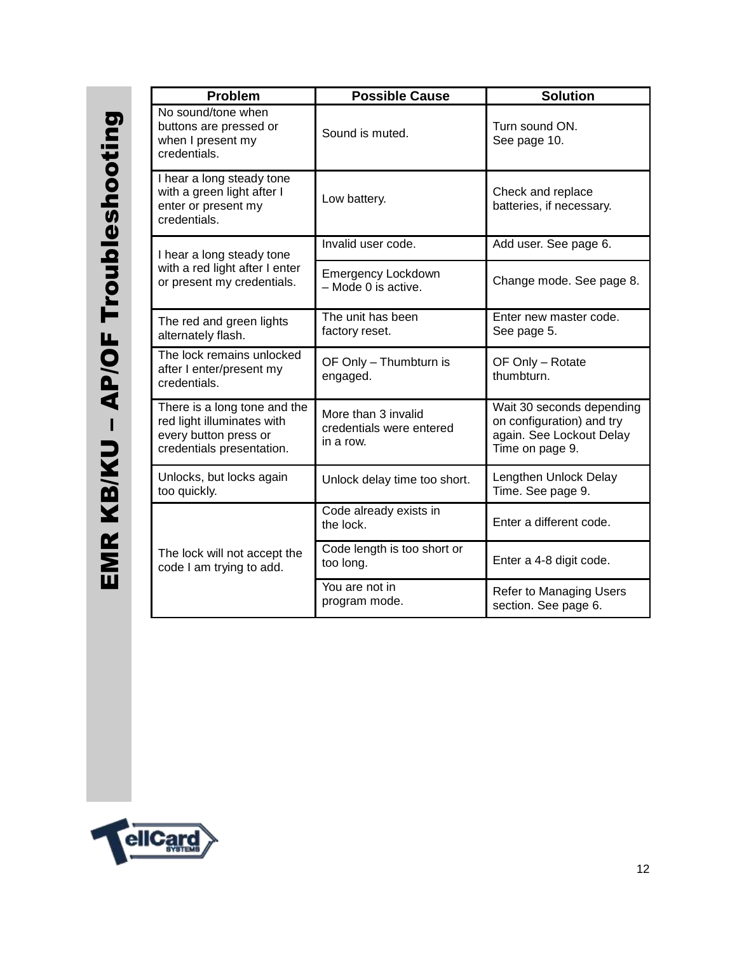| <b>Problem</b>                                                                                                   | <b>Possible Cause</b>                                        | <b>Solution</b>                                                                                       |
|------------------------------------------------------------------------------------------------------------------|--------------------------------------------------------------|-------------------------------------------------------------------------------------------------------|
| No sound/tone when<br>buttons are pressed or<br>when I present my<br>credentials.                                | Sound is muted.                                              | Turn sound ON.<br>See page 10.                                                                        |
| I hear a long steady tone<br>with a green light after I<br>enter or present my<br>credentials.                   | Low battery.                                                 | Check and replace<br>batteries, if necessary.                                                         |
| I hear a long steady tone                                                                                        | Invalid user code.                                           | Add user. See page 6.                                                                                 |
| with a red light after I enter<br>or present my credentials.                                                     | <b>Emergency Lockdown</b><br>- Mode 0 is active.             | Change mode. See page 8.                                                                              |
| The red and green lights<br>alternately flash.                                                                   | The unit has been<br>factory reset.                          | Enter new master code.<br>See page 5.                                                                 |
| The lock remains unlocked<br>after I enter/present my<br>credentials.                                            | OF Only - Thumbturn is<br>engaged.                           | OF Only - Rotate<br>thumbturn.                                                                        |
| There is a long tone and the<br>red light illuminates with<br>every button press or<br>credentials presentation. | More than 3 invalid<br>credentials were entered<br>in a row. | Wait 30 seconds depending<br>on configuration) and try<br>again. See Lockout Delay<br>Time on page 9. |
| Unlocks, but locks again<br>too quickly.                                                                         | Unlock delay time too short.                                 | Lengthen Unlock Delay<br>Time. See page 9.                                                            |
|                                                                                                                  | Code already exists in<br>the lock.                          | Enter a different code.                                                                               |
| The lock will not accept the<br>code I am trying to add.                                                         | Code length is too short or<br>too long.                     | Enter a 4-8 digit code.                                                                               |
|                                                                                                                  | You are not in<br>program mode.                              | <b>Refer to Managing Users</b><br>section. See page 6.                                                |

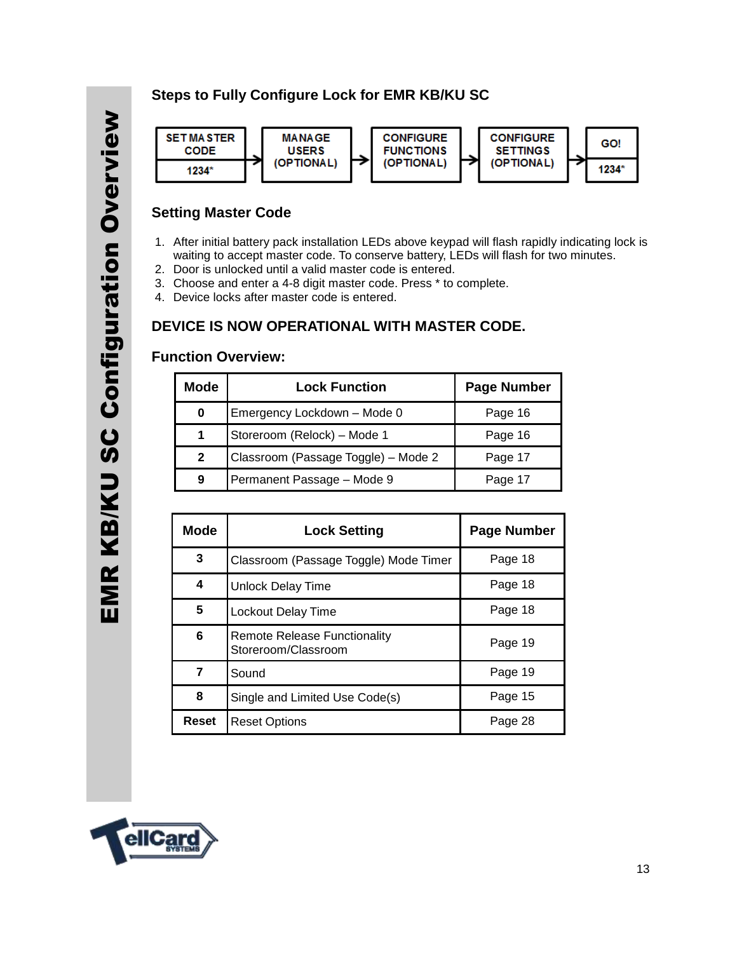#### **Steps to Fully Configure Lock for EMR KB/KU SC**



#### **Setting Master Code**

- 1. After initial battery pack installation LEDs above keypad will flash rapidly indicating lock is waiting to accept master code. To conserve battery, LEDs will flash for two minutes.
- 2. Door is unlocked until a valid master code is entered.
- 3. Choose and enter a 4-8 digit master code. Press \* to complete.
- 4. Device locks after master code is entered.

#### **DEVICE IS NOW OPERATIONAL WITH MASTER CODE.**

#### **Function Overview:**

| <b>Mode</b>  | <b>Lock Function</b>                | <b>Page Number</b> |
|--------------|-------------------------------------|--------------------|
| 0            | Emergency Lockdown - Mode 0         | Page 16            |
| 1            | Storeroom (Relock) - Mode 1         | Page 16            |
| $\mathbf{2}$ | Classroom (Passage Toggle) - Mode 2 | Page 17            |
| 9            | Permanent Passage - Mode 9          | Page 17            |

| <b>Mode</b> | <b>Lock Setting</b>                                 | <b>Page Number</b> |
|-------------|-----------------------------------------------------|--------------------|
| 3           | Classroom (Passage Toggle) Mode Timer               | Page 18            |
| 4           | Unlock Delay Time                                   | Page 18            |
| 5           | Lockout Delay Time                                  | Page 18            |
| 6           | Remote Release Functionality<br>Storeroom/Classroom | Page 19            |
| 7           | Sound                                               | Page 19            |
| 8           | Single and Limited Use Code(s)                      | Page 15            |
| Reset       | <b>Reset Options</b>                                | Page 28            |

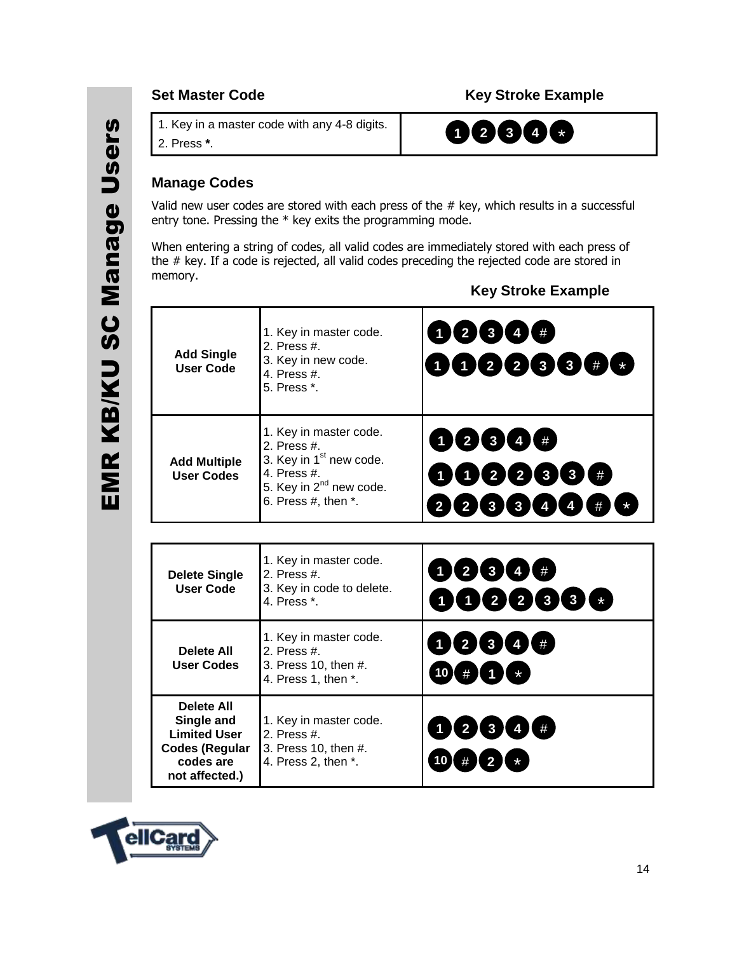Γ

5. 1. Key in a master code with any 4-8 digits.

6. 2. Press **\***.

#### **Manage Codes**

Valid new user codes are stored with each press of the  $#$  key, which results in a successful entry tone. Pressing the \* key exits the programming mode.

When entering a string of codes, all valid codes are immediately stored with each press of the # key. If a code is rejected, all valid codes preceding the rejected code are stored in memory.

Т

#### **Key Stroke Example**

| <b>Add Single</b><br><b>User Code</b>    | 1. Key in master code.<br>2. Press #.<br>3. Key in new code.<br>4. Press #.<br>5. Press *.                                                                      | 12344#<br>000033#6                                              |
|------------------------------------------|-----------------------------------------------------------------------------------------------------------------------------------------------------------------|-----------------------------------------------------------------|
| <b>Add Multiple</b><br><b>User Codes</b> | 1. Key in master code.<br>2. Press #.<br>3. Key in 1 <sup>st</sup> new code.<br>4. Press #.<br>5. Key in 2 <sup>nd</sup> new code.<br>6. Press $#$ , then $*$ . | 0000#<br>000088#<br>23344#<br>$\overline{2}$                    |
| <b>Delete Single</b><br>User Code        | 1. Key in master code.<br>2. Press #.<br>3. Key in code to delete.<br>4. Press *.                                                                               | DØ60#<br>0022333                                                |
| Delete All<br><b>User Codes</b>          | 1. Key in master code.<br>2. Press #.<br>3. Press 10, then #.<br>$\Lambda$ Draga $\Lambda$ than $\Lambda$                                                       | $\mathbf{3}$<br>$\mathbf{I}$ #<br>$\bullet$<br>$\sqrt{4}$<br>10 |

| <b>Delete All</b><br>User Codes                                                                                | 1. Key in master code.<br>2. Press $#$ .<br>3. Press 10, then #.<br>4. Press 1, then *. | $(2)$ 3 4<br>#<br>$\mathbf{L}$<br># 1 1 *<br>10 <sup>7</sup> |
|----------------------------------------------------------------------------------------------------------------|-----------------------------------------------------------------------------------------|--------------------------------------------------------------|
| <b>Delete All</b><br>Single and<br><b>Limited User</b><br><b>Codes (Regular</b><br>codes are<br>not affected.) | 1. Key in master code.<br>2. Press $#$ .<br>3. Press 10, then #.<br>4. Press 2, then *. | 1234<br>#<br>$\sqrt{2}$ $\sqrt{2}$<br><b>10</b><br>#         |



#### **Set Master Code Community Community Community Community Community Community Community Community Community Community**

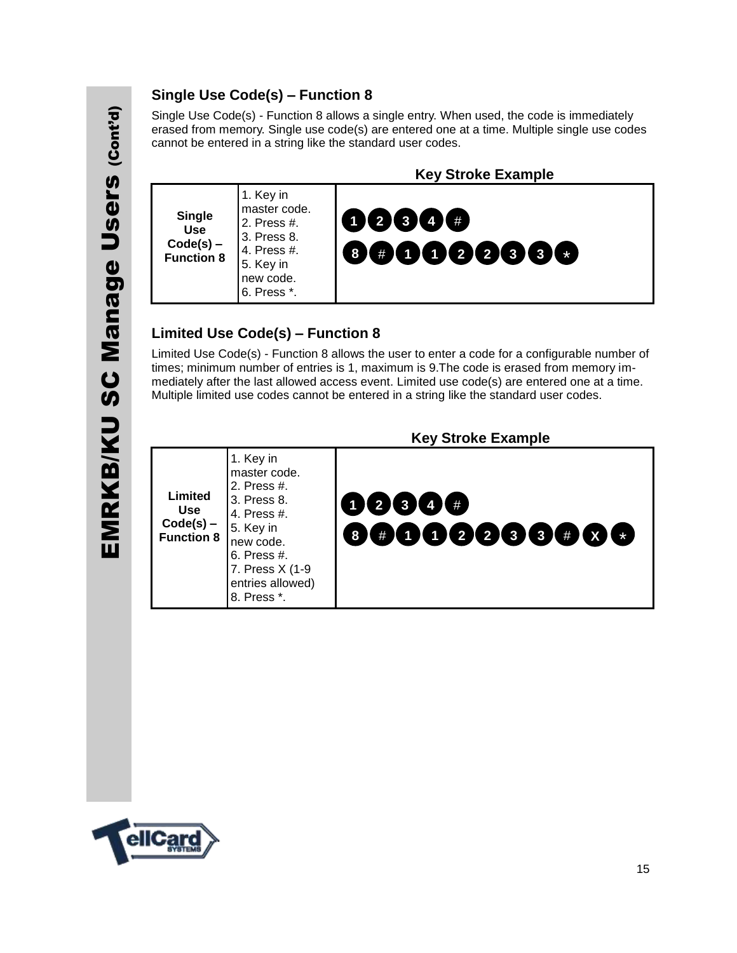# EMRKB/KU SC Manage Users (Cont'd) EMRKB/KU SC Manage Users (cont'd)

#### **Single Use Code(s) – Function 8**

Single Use Code(s) - Function 8 allows a single entry. When used, the code is immediately erased from memory. Single use code(s) are entered one at a time. Multiple single use codes cannot be entered in a string like the standard user codes.



#### **Limited Use Code(s) – Function 8**

Limited Use Code(s) - Function 8 allows the user to enter a code for a configurable number of times; minimum number of entries is 1, maximum is 9.The code is erased from memory immediately after the last allowed access event. Limited use code(s) are entered one at a time. Multiple limited use codes cannot be entered in a string like the standard user codes.

|                                                           |                                                                                                                                                                       | <b>Key Stroke Example</b>  |
|-----------------------------------------------------------|-----------------------------------------------------------------------------------------------------------------------------------------------------------------------|----------------------------|
| Limited<br><b>Use</b><br>$Code(s)$ –<br><b>Function 8</b> | 1. Key in<br>master code.<br>2. Press #.<br>3. Press 8.<br>4. Press #.<br>5. Key in<br>new code.<br>6. Press #.<br>7. Press X (1-9<br>entries allowed)<br>8. Press *. | 0234#<br>$\mathbf{r}$<br>8 |

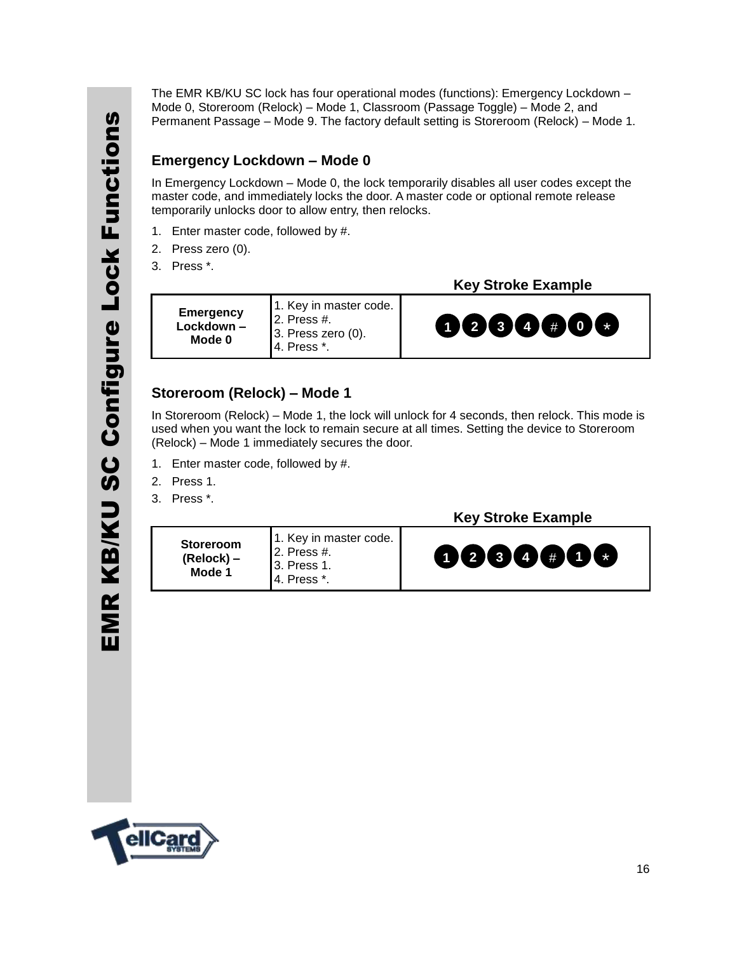The EMR KB/KU SC lock has four operational modes (functions): Emergency Lockdown – Mode 0, Storeroom (Relock) – Mode 1, Classroom (Passage Toggle) – Mode 2, and Permanent Passage – Mode 9. The factory default setting is Storeroom (Relock) – Mode 1.

#### **Emergency Lockdown – Mode 0**

In Emergency Lockdown – Mode 0, the lock temporarily disables all user codes except the master code, and immediately locks the door. A master code or optional remote release temporarily unlocks door to allow entry, then relocks.

- 1. Enter master code, followed by #.
- 2. Press zero (0).
- 3. Press \*.

**Emergency Lockdown – Mode 0** 1. Key in master code. 2. Press #. 3. Press zero (0). 4. Press \*.

#### **Key Stroke Example**



#### **Storeroom (Relock) – Mode 1**

In Storeroom (Relock) – Mode 1, the lock will unlock for 4 seconds, then relock. This mode is used when you want the lock to remain secure at all times. Setting the device to Storeroom (Relock) – Mode 1 immediately secures the door.

- 1. Enter master code, followed by #.
- 2. Press 1.
- 3. Press \*.

| <b>Storeroom</b><br>$(Relock)$ –<br>Mode 1 | 1. Key in master code.<br><b>12. Press #.</b><br><b>13. Press 1.</b><br>14. Press *. | 123400 |
|--------------------------------------------|--------------------------------------------------------------------------------------|--------|
|--------------------------------------------|--------------------------------------------------------------------------------------|--------|

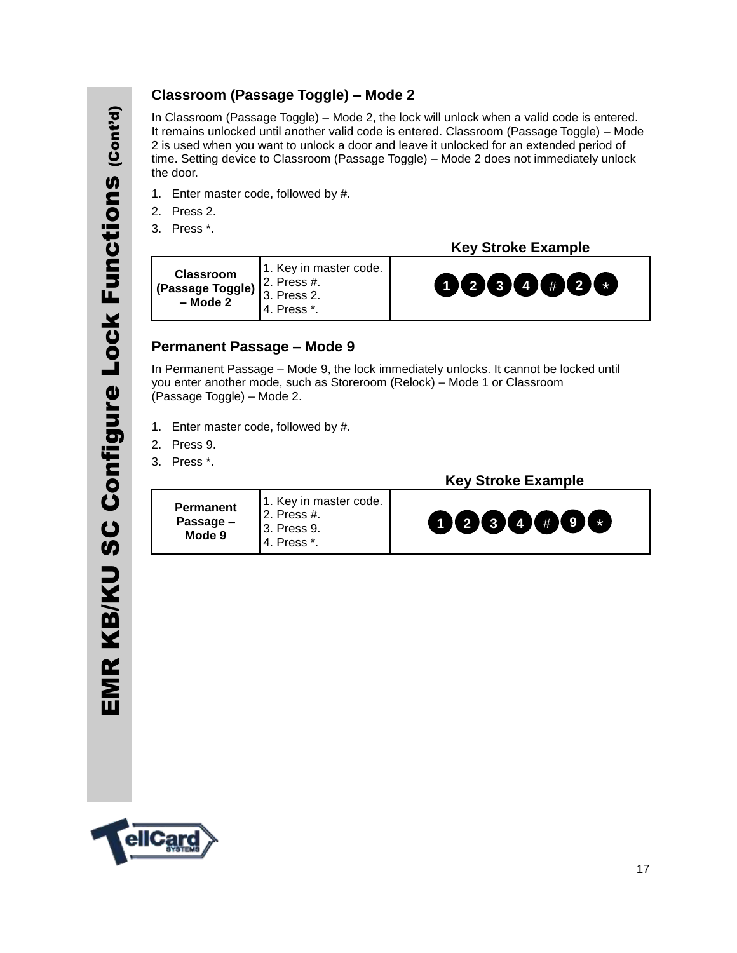#### **Classroom (Passage Toggle) – Mode 2**

In Classroom (Passage Toggle) – Mode 2, the lock will unlock when a valid code is entered. It remains unlocked until another valid code is entered. Classroom (Passage Toggle) – Mode 2 is used when you want to unlock a door and leave it unlocked for an extended period of time. Setting device to Classroom (Passage Toggle) – Mode 2 does not immediately unlock the door.

- 1. Enter master code, followed by #.
- 2. Press 2.
- 3. Press \*.

 **Key Stroke Example**

**Classroom (Passage Toggle) – Mode 2** 1. Key in master code. 2. Press #. 3. Press 2. 4. Press \*.



#### **Permanent Passage – Mode 9**

In Permanent Passage – Mode 9, the lock immediately unlocks. It cannot be locked until you enter another mode, such as Storeroom (Relock) – Mode 1 or Classroom (Passage Toggle) – Mode 2.

- 1. Enter master code, followed by #.
- 2. Press 9.
- 3. Press \*.



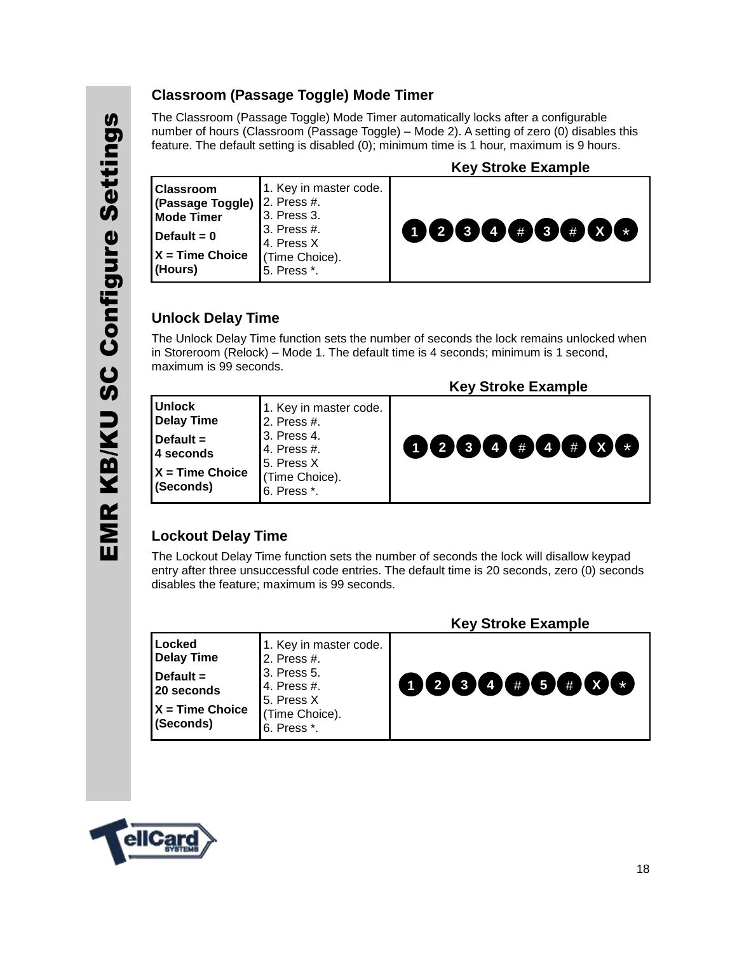#### **Classroom (Passage Toggle) Mode Timer**

The Classroom (Passage Toggle) Mode Timer automatically locks after a configurable number of hours (Classroom (Passage Toggle) – Mode 2). A setting of zero (0) disables this feature. The default setting is disabled (0); minimum time is 1 hour, maximum is 9 hours.

|                                                                                                            |                                                                                                                     | <b>Key Stroke Example</b>            |
|------------------------------------------------------------------------------------------------------------|---------------------------------------------------------------------------------------------------------------------|--------------------------------------|
| <b>Classroom</b><br>(Passage Toggle)<br><b>Mode Timer</b><br>Default = $0$<br>$X = Time Choice$<br>(Hours) | 1. Key in master code.<br>12. Press #.<br>3. Press 3.<br>3. Press #.<br>4. Press X<br>(Time Choice).<br>5. Press *. | $\bullet$ 234 $\bullet$ 34 $\bullet$ |

#### **Unlock Delay Time**

The Unlock Delay Time function sets the number of seconds the lock remains unlocked when in Storeroom (Relock) – Mode 1. The default time is 4 seconds; minimum is 1 second, maximum is 99 seconds.

| <b>Unlock</b><br>1. Key in master code.<br><b>Delay Time</b><br>2. Press #.<br>3. Press 4.<br>Default $=$<br>0000#0000<br>14. Press #.<br>4 seconds<br>5. Press X<br>$X = Time Choice$<br>(Time Choice).<br>(Seconds)<br>6. Press *. |  | <b>Key Stroke Example</b> |
|--------------------------------------------------------------------------------------------------------------------------------------------------------------------------------------------------------------------------------------|--|---------------------------|
|                                                                                                                                                                                                                                      |  |                           |

#### **Lockout Delay Time**

The Lockout Delay Time function sets the number of seconds the lock will disallow keypad entry after three unsuccessful code entries. The default time is 20 seconds, zero (0) seconds disables the feature; maximum is 99 seconds.

| Locked<br>1. Key in master code.<br>2. Press #.<br>3. Press 5.<br>000000006<br>4. Press #.<br>15. Press X<br>(Time Choice).<br>6. Press *. |                                                                           | <b>NEV OUUNG EXAILIDIG</b> |
|--------------------------------------------------------------------------------------------------------------------------------------------|---------------------------------------------------------------------------|----------------------------|
|                                                                                                                                            | Delay Time<br>Default $=$<br>20 seconds<br>$X = Time Choice$<br>(Seconds) |                            |

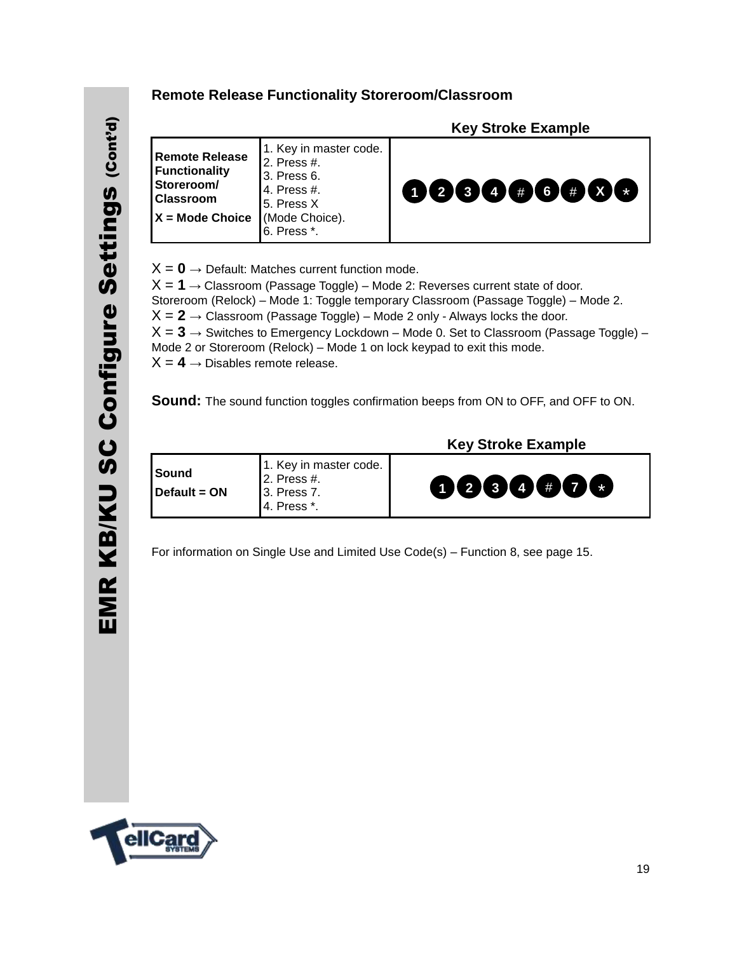#### **Remote Release Functionality Storeroom/Classroom**

| <b>Remote Release</b><br><b>Functionality</b><br>Storeroom/<br><b>Classroom</b> | 1. Key in master code.<br>2. Press #.<br>3. Press 6.<br>4. Press #.<br>5. Press X | <b>Key Stroke Example</b><br>$(1)$ $(2)$ $(3)$ $(4)$ $(4)$ $(6)$ $(4)$<br>$\mathbf{X}$<br>$\star$ |
|---------------------------------------------------------------------------------|-----------------------------------------------------------------------------------|---------------------------------------------------------------------------------------------------|
| $X = Mode$ Choice                                                               | (Mode Choice).<br>$6.$ Press $*$ .                                                |                                                                                                   |
| $V = n$                                                                         | Defeult. Metaboo surrant function mode                                            |                                                                                                   |

 $X = 0 \rightarrow$  Default: Matches current function mode.  $X = 1 \rightarrow$  Classroom (Passage Toggle) – Mode 2: Reverses current state of door. Storeroom (Relock) – Mode 1: Toggle temporary Classroom (Passage Toggle) – Mode 2.  $X = 2 \rightarrow$  Classroom (Passage Toggle) – Mode 2 only - Always locks the door.  $X = 3 \rightarrow$  Switches to Emergency Lockdown – Mode 0. Set to Classroom (Passage Toggle) – Mode 2 or Storeroom (Relock) – Mode 1 on lock keypad to exit this mode.  $X = 4 \rightarrow$  Disables remote release.

**Sound:** The sound function toggles confirmation beeps from ON to OFF, and OFF to ON.

| l Sound<br>$\blacksquare$ Default = ON | 1. Key in master code.<br><b>12. Press</b> #.<br><b>13. Press 7.</b><br>l 4. Press *. | 0 2 3 4 7 7 |
|----------------------------------------|---------------------------------------------------------------------------------------|-------------|
|----------------------------------------|---------------------------------------------------------------------------------------|-------------|

 **Key Stroke Example**

For information on Single Use and Limited Use Code(s) – Function 8, see page 15.



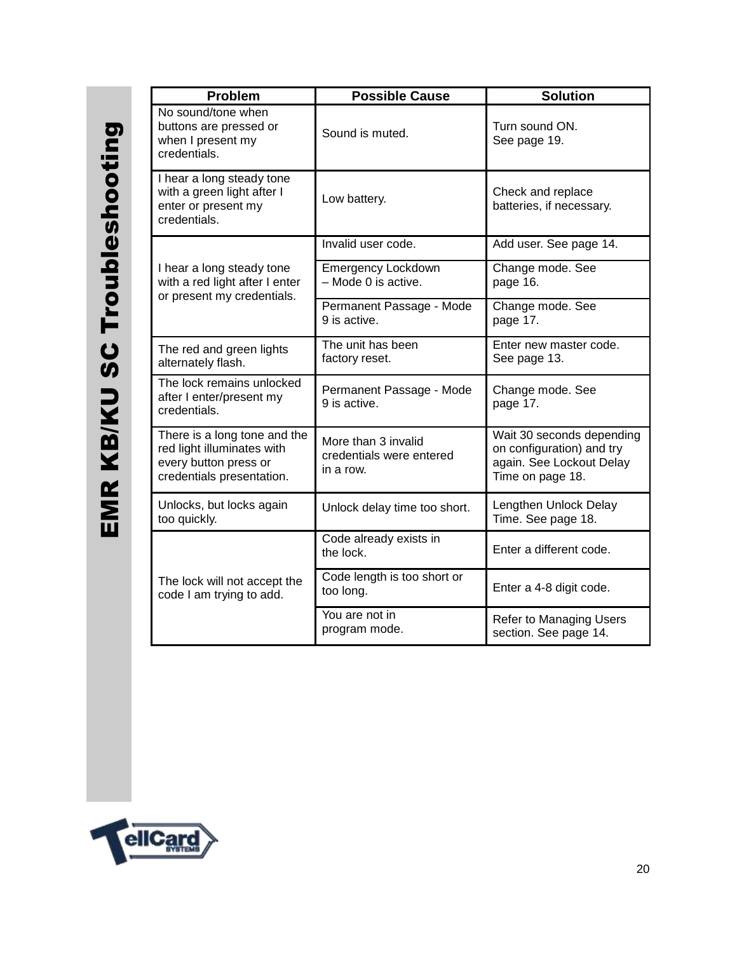| Problem                                                                                                          | <b>Possible Cause</b>                                        | <b>Solution</b>                                                                                        |
|------------------------------------------------------------------------------------------------------------------|--------------------------------------------------------------|--------------------------------------------------------------------------------------------------------|
| No sound/tone when<br>buttons are pressed or<br>when I present my<br>credentials.                                | Sound is muted.                                              | Turn sound ON.<br>See page 19.                                                                         |
| I hear a long steady tone<br>with a green light after I<br>enter or present my<br>credentials.                   | Low battery.                                                 | Check and replace<br>batteries, if necessary.                                                          |
|                                                                                                                  | Invalid user code.                                           | Add user. See page 14.                                                                                 |
| I hear a long steady tone<br>with a red light after I enter<br>or present my credentials.                        | <b>Emergency Lockdown</b><br>- Mode 0 is active.             | Change mode. See<br>page 16.                                                                           |
|                                                                                                                  | Permanent Passage - Mode<br>9 is active.                     | Change mode. See<br>page 17.                                                                           |
| The red and green lights<br>alternately flash.                                                                   | The unit has been<br>factory reset.                          | Enter new master code.<br>See page 13.                                                                 |
| The lock remains unlocked<br>after I enter/present my<br>credentials.                                            | Permanent Passage - Mode<br>9 is active.                     | Change mode. See<br>page 17.                                                                           |
| There is a long tone and the<br>red light illuminates with<br>every button press or<br>credentials presentation. | More than 3 invalid<br>credentials were entered<br>in a row. | Wait 30 seconds depending<br>on configuration) and try<br>again. See Lockout Delay<br>Time on page 18. |
| Unlocks, but locks again<br>too quickly.                                                                         | Unlock delay time too short.                                 | Lengthen Unlock Delay<br>Time. See page 18.                                                            |
|                                                                                                                  | Code already exists in<br>the lock.                          | Enter a different code.                                                                                |
| The lock will not accept the<br>code I am trying to add.                                                         | Code length is too short or<br>too long.                     | Enter a 4-8 digit code.                                                                                |
|                                                                                                                  | You are not in<br>program mode.                              | Refer to Managing Users<br>section. See page 14.                                                       |

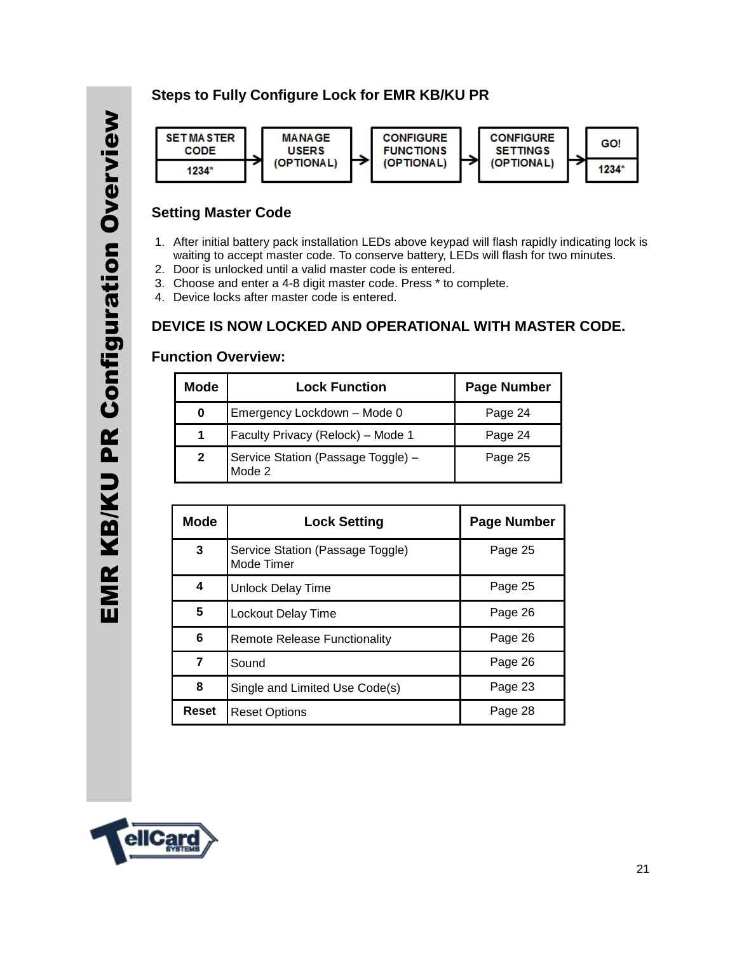#### **Steps to Fully Configure Lock for EMR KB/KU PR**



#### **Setting Master Code**

- 1. After initial battery pack installation LEDs above keypad will flash rapidly indicating lock is waiting to accept master code. To conserve battery, LEDs will flash for two minutes.
- 2. Door is unlocked until a valid master code is entered.
- 3. Choose and enter a 4-8 digit master code. Press \* to complete.
- 4. Device locks after master code is entered.

#### **DEVICE IS NOW LOCKED AND OPERATIONAL WITH MASTER CODE.**

#### **Function Overview:**

| Mode         | <b>Lock Function</b>                         | <b>Page Number</b> |
|--------------|----------------------------------------------|--------------------|
| 0            | Emergency Lockdown - Mode 0                  | Page 24            |
| 1            | Faculty Privacy (Relock) - Mode 1            | Page 24            |
| $\mathbf{2}$ | Service Station (Passage Toggle) -<br>Mode 2 | Page 25            |

| <b>Mode</b> | <b>Lock Setting</b>                            | <b>Page Number</b> |
|-------------|------------------------------------------------|--------------------|
| 3           | Service Station (Passage Toggle)<br>Mode Timer | Page 25            |
| 4           | Unlock Delay Time                              | Page 25            |
| 5           | Lockout Delay Time                             | Page 26            |
| 6           | Remote Release Functionality                   | Page 26            |
| 7           | Sound                                          | Page 26            |
| 8           | Single and Limited Use Code(s)                 | Page 23            |
| Reset       | Reset Options                                  | Page 28            |

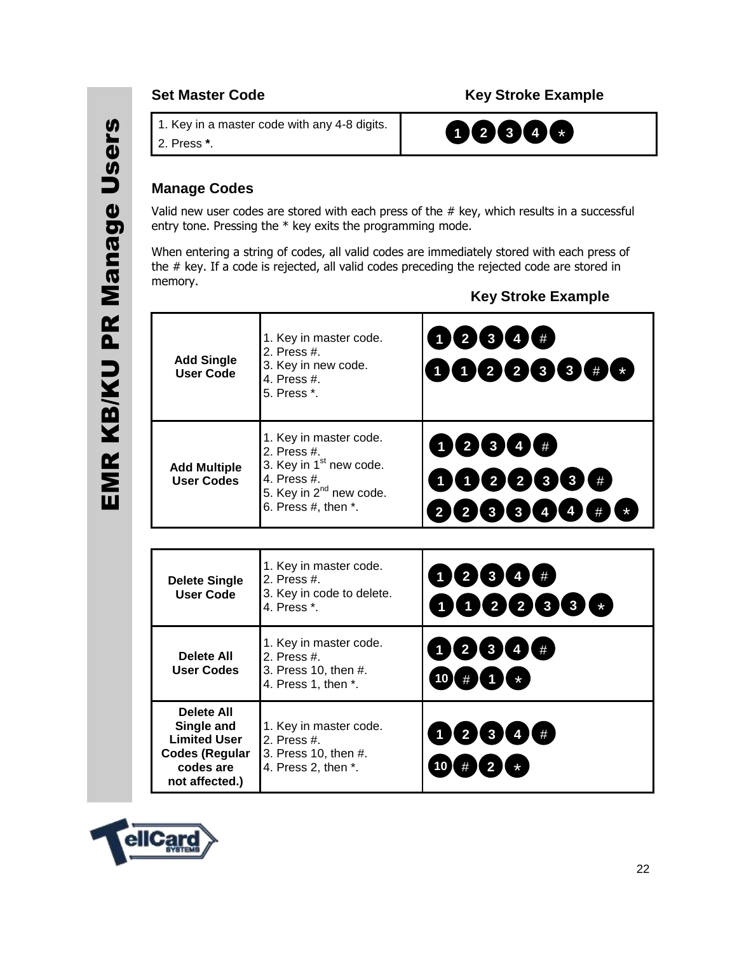#### **Set Master Code Community Community Community Community Community Community Community Community Community Community**

1. Key in a master code with any 4-8 digits.

8. 2. Press **\***.

**1 2 3 4** \*

#### **Manage Codes**

Valid new user codes are stored with each press of the # key, which results in a successful entry tone. Pressing the \* key exits the programming mode.

When entering a string of codes, all valid codes are immediately stored with each press of the # key. If a code is rejected, all valid codes preceding the rejected code are stored in memory.

| <b>Add Single</b><br><b>User Code</b>                                                                          | 1. Key in master code.<br>2. Press #.<br>3. Key in new code.<br>4. Press #.<br>5. Press *.                                                                      | 1234#<br>10223387                                                                                            |
|----------------------------------------------------------------------------------------------------------------|-----------------------------------------------------------------------------------------------------------------------------------------------------------------|--------------------------------------------------------------------------------------------------------------|
| <b>Add Multiple</b><br><b>User Codes</b>                                                                       | 1. Key in master code.<br>2. Press #.<br>3. Key in 1 <sup>st</sup> new code.<br>4. Press #.<br>5. Key in 2 <sup>nd</sup> new code.<br>6. Press $#$ , then $*$ . | 12344#<br>022334<br>$\boxed{2}$<br>$\mathbf{3}$<br>$\mathbf{3}$<br>$\overline{2}$<br>$\overline{\mathbf{4}}$ |
|                                                                                                                |                                                                                                                                                                 |                                                                                                              |
| <b>Delete Single</b><br><b>User Code</b>                                                                       | 1. Key in master code.<br>2. Press #.<br>3. Key in code to delete.<br>4. Press *.                                                                               | $2$ 3 4 #<br>$\bullet$<br>$\mathbf{2}$<br>2                                                                  |
| <b>Delete All</b><br><b>User Codes</b>                                                                         | 1. Key in master code.<br>2. Press #.<br>3. Press 10, then #.<br>4. Press 1, then *.                                                                            | $1$ (2 3 4 #<br>10 <sup>7</sup>                                                                              |
| <b>Delete All</b><br>Single and<br><b>Limited User</b><br><b>Codes (Regular</b><br>codes are<br>not affected.) | 1. Key in master code.<br>2. Press $#$<br>3. Press 10, then #.<br>4. Press 2, then *.                                                                           | 2(3(4)(#))<br>10                                                                                             |

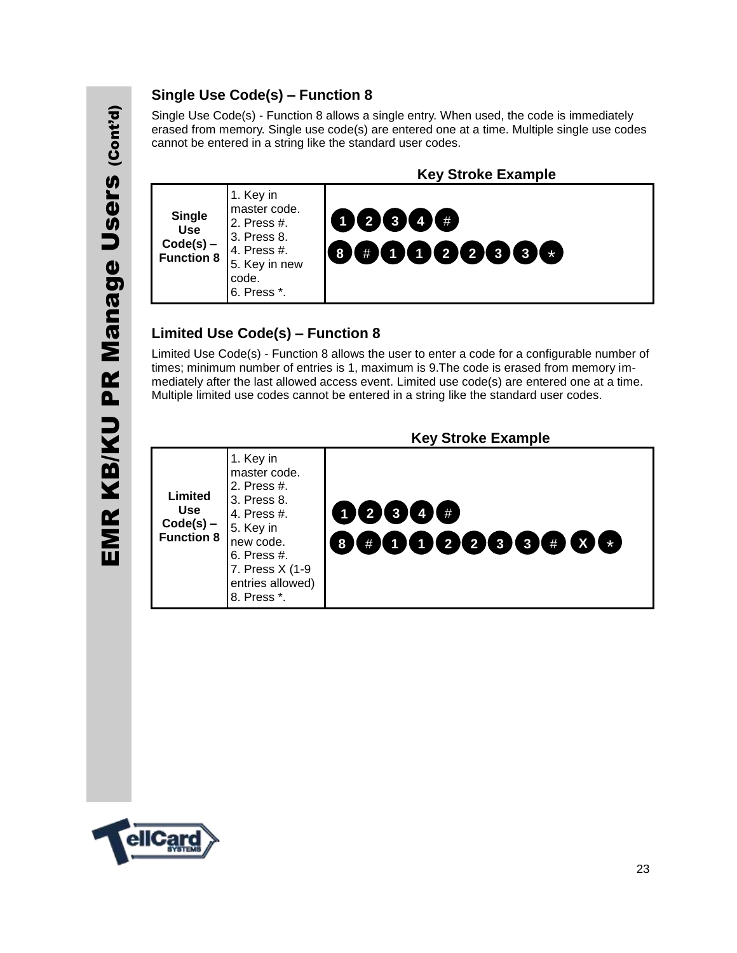# EMR KB/KU PR Manage Users (Cont'd) PR Manage Users (cont'd) EMR KB/KU

#### **Single Use Code(s) – Function 8**

Single Use Code(s) - Function 8 allows a single entry. When used, the code is immediately erased from memory. Single use code(s) are entered one at a time. Multiple single use codes cannot be entered in a string like the standard user codes.



#### **Limited Use Code(s) – Function 8**

Limited Use Code(s) - Function 8 allows the user to enter a code for a configurable number of times; minimum number of entries is 1, maximum is 9.The code is erased from memory immediately after the last allowed access event. Limited use code(s) are entered one at a time. Multiple limited use codes cannot be entered in a string like the standard user codes.

|                                                           |                                                                                                                                                                         | <b>Key Stroke Example</b>                                                                                                                                                                                                                                         |
|-----------------------------------------------------------|-------------------------------------------------------------------------------------------------------------------------------------------------------------------------|-------------------------------------------------------------------------------------------------------------------------------------------------------------------------------------------------------------------------------------------------------------------|
| Limited<br><b>Use</b><br>$Code(s)$ –<br><b>Function 8</b> | 1. Key in<br>master code.<br>2. Press #.<br>3. Press 8.<br>4. Press #.<br>5. Key in<br>new code.<br>$6.$ Press #.<br>7. Press X (1-9<br>entries allowed)<br>8. Press *. | 12344#<br>$\color{red}\bullet\color{red}\textbf{0}\color{black} \textbf{0}\color{red}\color{blue}\textbf{0}\color{black} \textbf{0}\color{black} \textbf{0}\color{black} \textbf{0}\color{black} \textbf{0}\color{black} \textbf{0}\color{black} \textbf{0}$<br>8 |

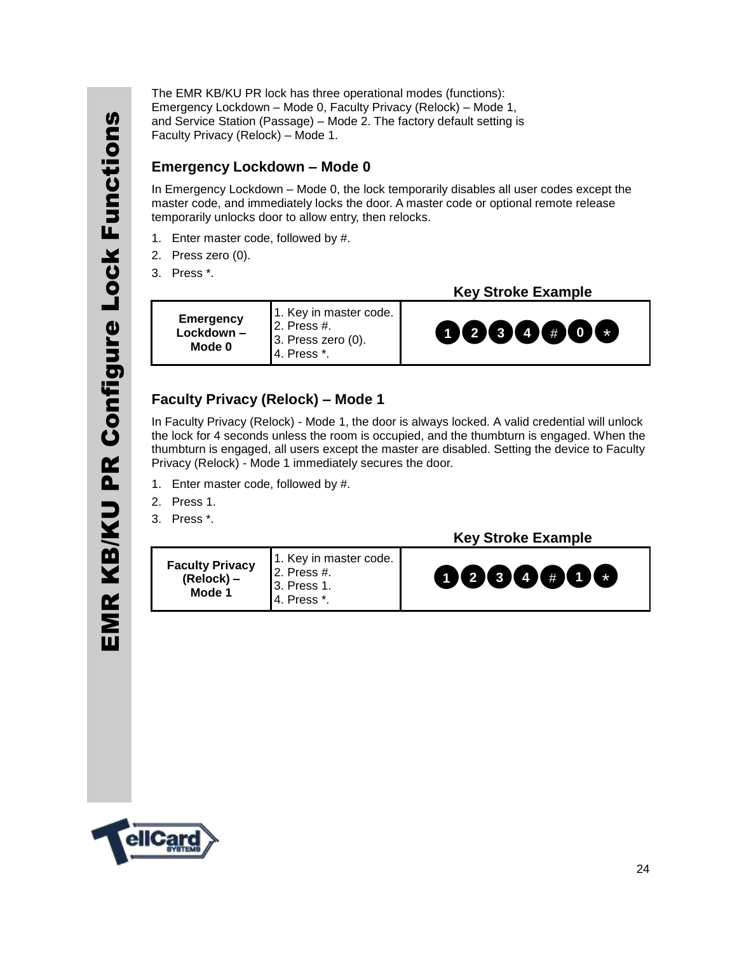The EMR KB/KU PR lock has three operational modes (functions): Emergency Lockdown – Mode 0, Faculty Privacy (Relock) – Mode 1, and Service Station (Passage) – Mode 2. The factory default setting is Faculty Privacy (Relock) – Mode 1.

#### **Emergency Lockdown – Mode 0**

In Emergency Lockdown – Mode 0, the lock temporarily disables all user codes except the master code, and immediately locks the door. A master code or optional remote release temporarily unlocks door to allow entry, then relocks.

- 1. Enter master code, followed by #.
- 2. Press zero (0).
- 3. Press \*.

| <b>Emergency</b><br>Lockdown -<br>Mode 0 | 1. Key in master code.<br>$2.$ Press #.<br>3. Press zero (0).<br>4. Press *. |
|------------------------------------------|------------------------------------------------------------------------------|
|------------------------------------------|------------------------------------------------------------------------------|

#### **Key Stroke Example**



#### **Faculty Privacy (Relock) – Mode 1**

In Faculty Privacy (Relock) - Mode 1, the door is always locked. A valid credential will unlock the lock for 4 seconds unless the room is occupied, and the thumbturn is engaged. When the thumbturn is engaged, all users except the master are disabled. Setting the device to Faculty Privacy (Relock) - Mode 1 immediately secures the door.

- 1. Enter master code, followed by #.
- 2. Press 1.
- 3. Press \*.



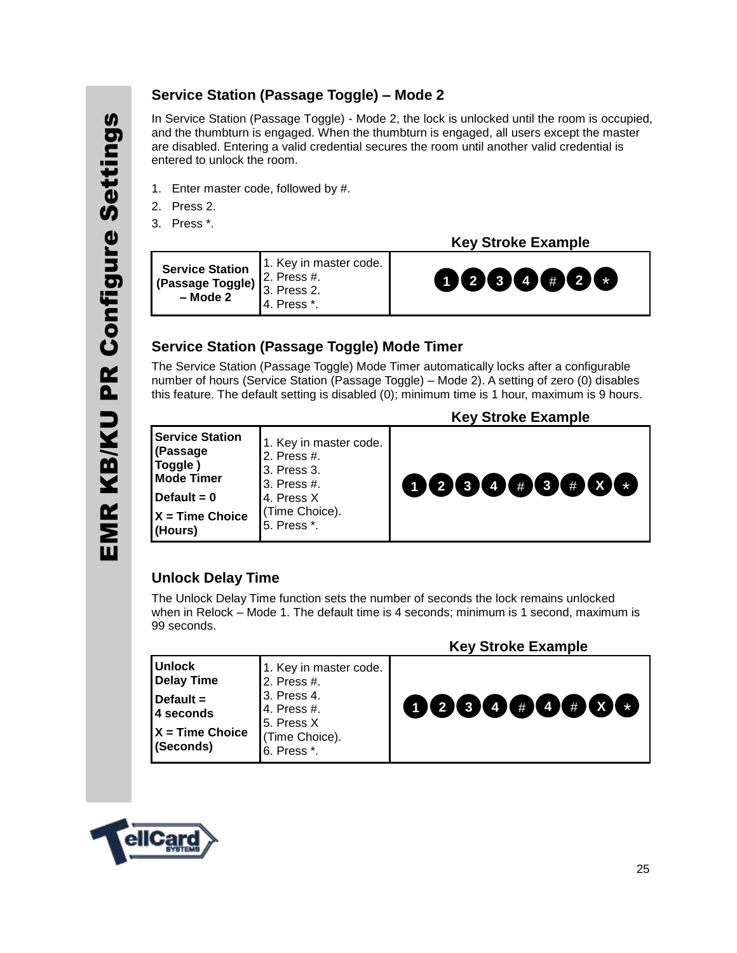#### **Service Station (Passage Toggle) – Mode 2**

In Service Station (Passage Toggle) - Mode 2, the lock is unlocked until the room is occupied, and the thumbturn is engaged. When the thumbturn is engaged, all users except the master are disabled. Entering a valid credential secures the room until another valid credential is entered to unlock the room.

- 1. Enter master code, followed by #.
- 2. Press 2.
- 3. Press \*.

 **Key Stroke Example**

| <b>Provide Station</b> $\begin{bmatrix} 1. \text{ Key in master code.} \\ 2. \text{ Press } \text{\#}. \\ 3. \text{ Press } 2. \end{bmatrix}$<br>0000000<br>$-$ Mode 2<br>4. Press *. |  |
|---------------------------------------------------------------------------------------------------------------------------------------------------------------------------------------|--|
|---------------------------------------------------------------------------------------------------------------------------------------------------------------------------------------|--|

#### **Service Station (Passage Toggle) Mode Timer**

The Service Station (Passage Toggle) Mode Timer automatically locks after a configurable number of hours (Service Station (Passage Toggle) – Mode 2). A setting of zero (0) disables this feature. The default setting is disabled (0); minimum time is 1 hour, maximum is 9 hours.

| <b>Service Station</b><br>1. Key in master code.<br>(Passage<br>2. Press #.<br>Toggle)<br>3. Press 3.<br><b>Mode Timer</b> | <b>Key Stroke Example</b>                             |
|----------------------------------------------------------------------------------------------------------------------------|-------------------------------------------------------|
| 3. Press #.<br>Default = $0$<br>4. Press X<br>(Time Choice).<br>$X = Time Choice$<br>5. Press *.<br>(Hours)                | $(1)$ $(2)$ $(3)$ $(4)$ $(4)$ $(3)$ $(4)$ $(3)$ $(4)$ |

#### **Unlock Delay Time**

The Unlock Delay Time function sets the number of seconds the lock remains unlocked when in Relock – Mode 1. The default time is 4 seconds; minimum is 1 second, maximum is 99 seconds.

|                                                                                                     |                                                                                                                     | <b>Key Stroke Example</b> |
|-----------------------------------------------------------------------------------------------------|---------------------------------------------------------------------------------------------------------------------|---------------------------|
| <b>Unlock</b><br><b>Delay Time</b><br>Default =<br><b>4 seconds</b><br>X = Time Choice<br>(Seconds) | 1. Key in master code.<br>2. Press #.<br>3. Press 4.<br>14. Press #.<br>5. Press X<br>(Time Choice).<br>6. Press *. | 0000#0#00                 |

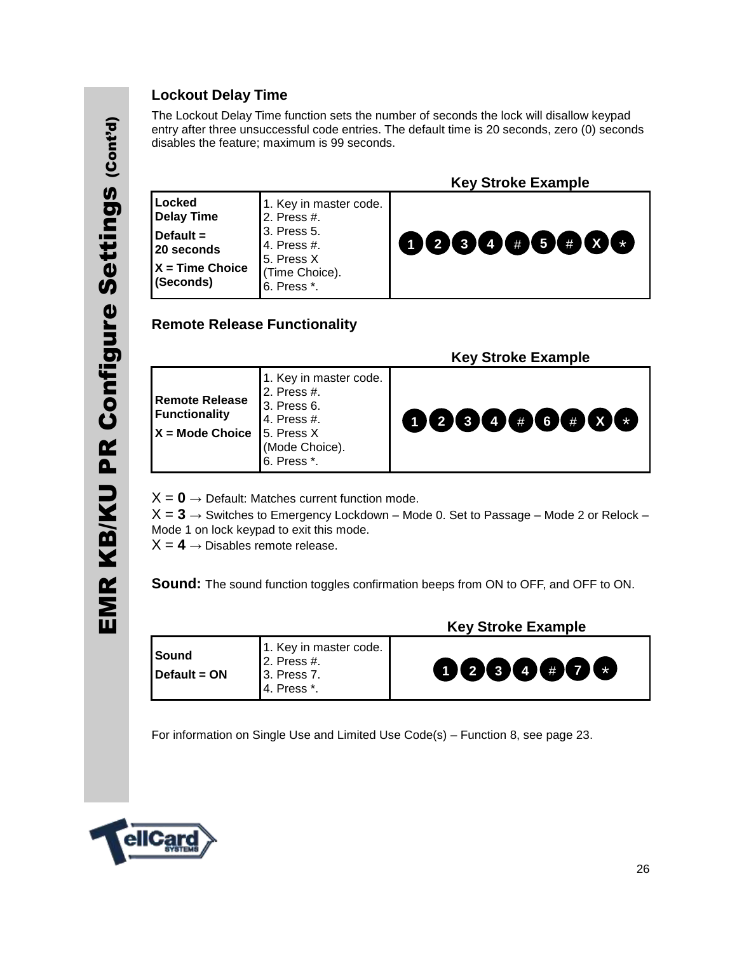#### **Lockout Delay Time**

The Lockout Delay Time function sets the number of seconds the lock will disallow keypad entry after three unsuccessful code entries. The default time is 20 seconds, zero (0) seconds disables the feature; maximum is 99 seconds.

|                                                                                            |                                                                                                                                 | <b>Key Stroke Example</b> |
|--------------------------------------------------------------------------------------------|---------------------------------------------------------------------------------------------------------------------------------|---------------------------|
| Locked<br><b>Delay Time</b><br>Default $=$<br>20 seconds<br>$X = Time Choice$<br>(Seconds) | 1. Key in master code.<br>2. Press #.<br>3. Press 5.<br>4. Press #.<br>5. Press X<br>(Time Choice).<br><sup>1</sup> 6. Press *. | 000000000                 |

#### **Remote Release Functionality**

 **Key Stroke Example Remote Release Functionality X = Mode Choice**  1. Key in master code. 2. Press #. 3. Press 6. 4. Press #. 5. Press X (Mode Choice). 6. Press \*. **1 2 3 4** # **6** \* # **X**

 $X = 0 \rightarrow$  Default: Matches current function mode.

 $X = 3 \rightarrow$  Switches to Emergency Lockdown – Mode 0. Set to Passage – Mode 2 or Relock – Mode 1 on lock keypad to exit this mode.

 $X = 4 \rightarrow$  Disables remote release.

**Sound:** The sound function toggles confirmation beeps from ON to OFF, and OFF to ON.

|                              |                                                                     | <b>Key Stroke Example</b> |
|------------------------------|---------------------------------------------------------------------|---------------------------|
| <b>Sound</b><br>Default = ON | 1. Key in master code.<br>2. Press #.<br>3. Press 7.<br>4. Press *. | 0000000                   |

For information on Single Use and Limited Use Code(s) – Function 8, see page 23.

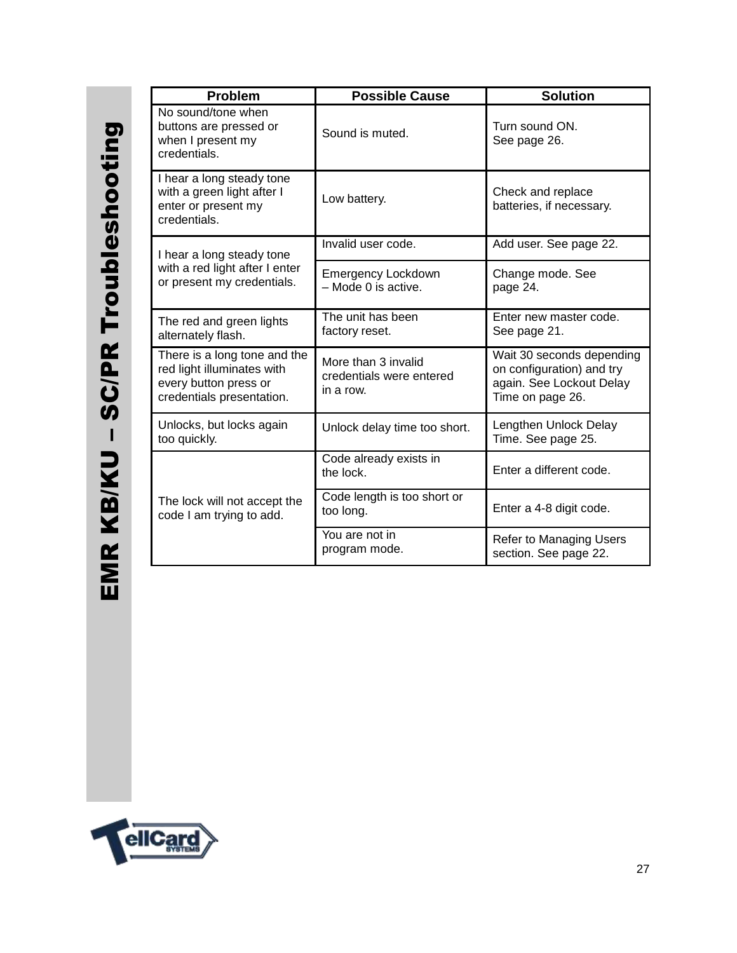| <b>Problem</b>                                                                                                   | <b>Possible Cause</b>                                        | <b>Solution</b>                                                                                        |
|------------------------------------------------------------------------------------------------------------------|--------------------------------------------------------------|--------------------------------------------------------------------------------------------------------|
| No sound/tone when<br>buttons are pressed or<br>when I present my<br>credentials.                                | Sound is muted.                                              | Turn sound ON.<br>See page 26.                                                                         |
| I hear a long steady tone<br>with a green light after I<br>enter or present my<br>credentials.                   | Low battery.                                                 | Check and replace<br>batteries, if necessary.                                                          |
| I hear a long steady tone                                                                                        | Invalid user code.                                           | Add user. See page 22.                                                                                 |
| with a red light after I enter<br>or present my credentials.                                                     | <b>Emergency Lockdown</b><br>- Mode 0 is active.             | Change mode. See<br>page 24.                                                                           |
| The red and green lights<br>alternately flash.                                                                   | The unit has been<br>factory reset.                          | Enter new master code.<br>See page 21.                                                                 |
| There is a long tone and the<br>red light illuminates with<br>every button press or<br>credentials presentation. | More than 3 invalid<br>credentials were entered<br>in a row. | Wait 30 seconds depending<br>on configuration) and try<br>again. See Lockout Delay<br>Time on page 26. |
| Unlocks, but locks again<br>too quickly.                                                                         | Unlock delay time too short.                                 | Lengthen Unlock Delay<br>Time. See page 25.                                                            |
|                                                                                                                  | Code already exists in<br>the lock.                          | Enter a different code.                                                                                |
| The lock will not accept the<br>code I am trying to add.                                                         | Code length is too short or<br>too long.                     | Enter a 4-8 digit code.                                                                                |
|                                                                                                                  | You are not in<br>program mode.                              | <b>Refer to Managing Users</b><br>section. See page 22.                                                |

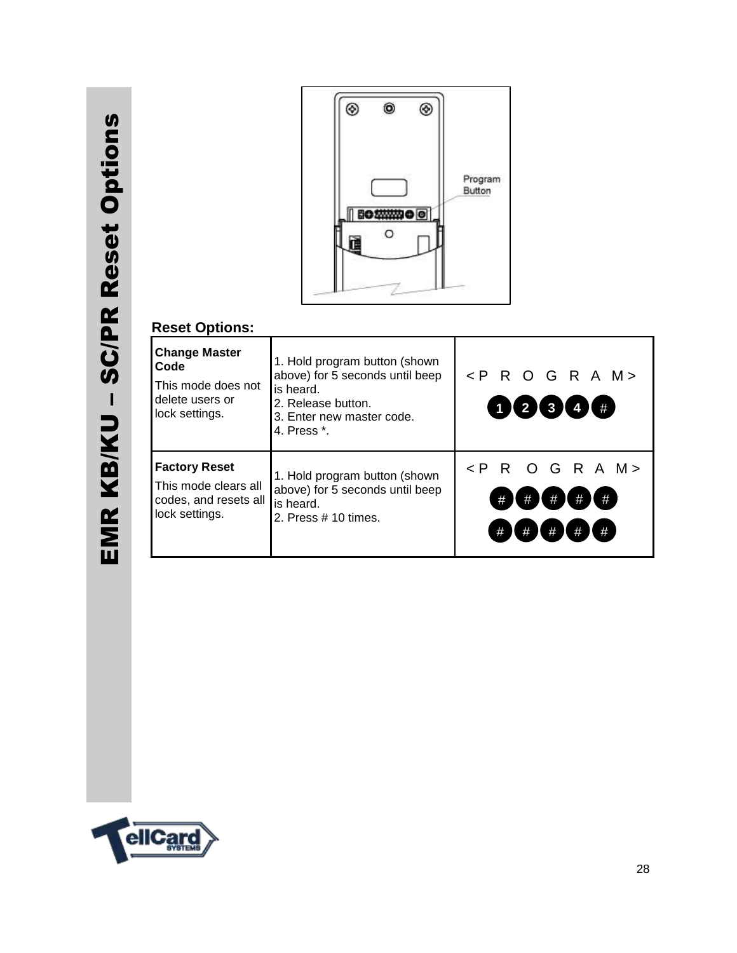

#### **Reset Options:**

| <b>Change Master</b><br>Code<br>This mode does not<br>delete users or<br>lock settings. | 1. Hold program button (shown)<br>above) for 5 seconds until beep<br>is heard.<br>2. Release button.<br>3. Enter new master code.<br>4. Press *. | $\langle$ PROGRAM><br>1 2 3 4 4                                      |
|-----------------------------------------------------------------------------------------|--------------------------------------------------------------------------------------------------------------------------------------------------|----------------------------------------------------------------------|
| <b>Factory Reset</b><br>This mode clears all<br>codes, and resets all<br>lock settings. | 1. Hold program button (shown)<br>above) for 5 seconds until beep<br>is heard.<br>2. Press $# 10$ times.                                         | $\langle$ PROGRAM><br>#<br>#<br>#<br>#<br>#<br>#<br>#<br>#<br>#<br># |

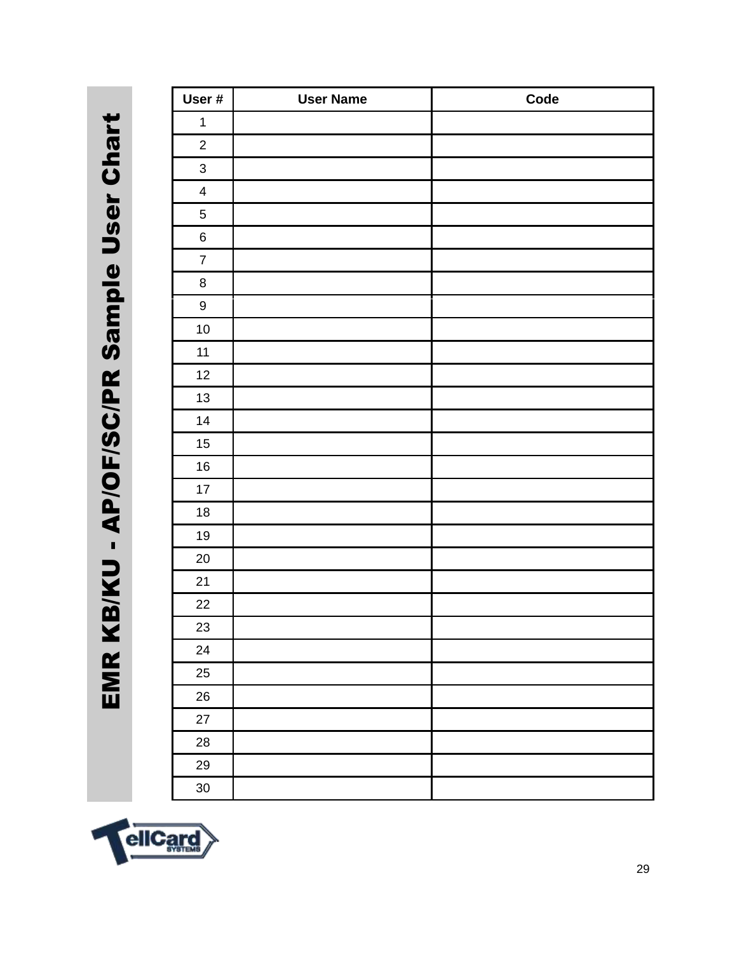EMR KB/KU - AP/OF/SC/PR Sample User Chart EMR KB/KU - AP/OF/SC/PR Sample User Chart

| User #                  | <b>User Name</b> | Code |
|-------------------------|------------------|------|
| $\mathbf{1}$            |                  |      |
| $\overline{2}$          |                  |      |
| $\mathbf{3}$            |                  |      |
| $\overline{\mathbf{4}}$ |                  |      |
| 5                       |                  |      |
| $\,6$                   |                  |      |
| $\overline{7}$          |                  |      |
| $\bf 8$                 |                  |      |
| $\boldsymbol{9}$        |                  |      |
| $10\,$                  |                  |      |
| $11$                    |                  |      |
| 12                      |                  |      |
| 13                      |                  |      |
| 14                      |                  |      |
| $15\,$                  |                  |      |
| $16\,$                  |                  |      |
| 17                      |                  |      |
| $18\,$                  |                  |      |
| $19$                    |                  |      |
| $20\,$                  |                  |      |
| 21                      |                  |      |
| 22                      |                  |      |
| 23                      |                  |      |
| 24                      |                  |      |
| 25                      |                  |      |
| 26                      |                  |      |
| 27                      |                  |      |
| 28                      |                  |      |
| 29                      |                  |      |
| $30\,$                  |                  |      |